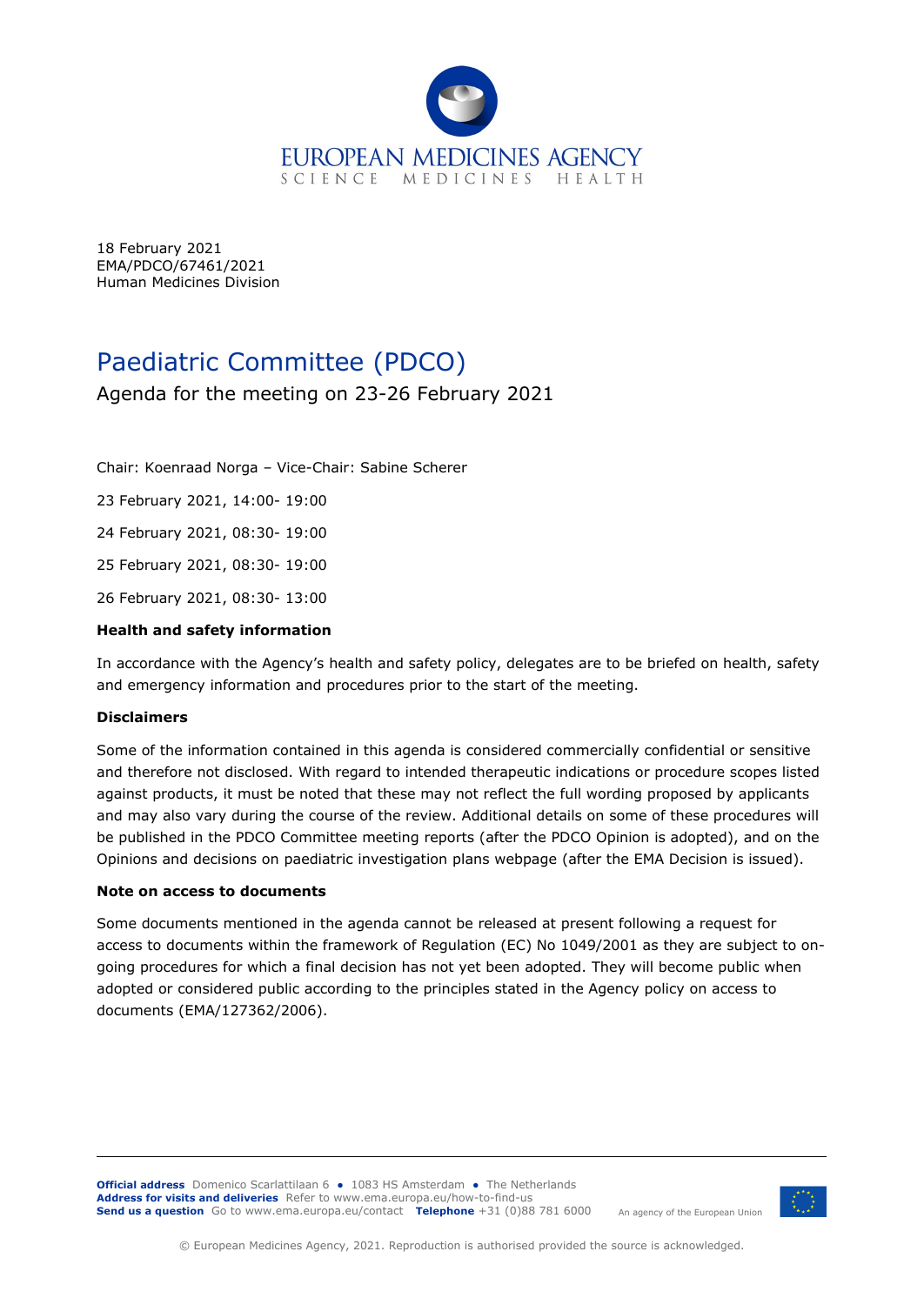

18 February 2021 EMA/PDCO/67461/2021 Human Medicines Division

# Paediatric Committee (PDCO)

# Agenda for the meeting on 23-26 February 2021

Chair: Koenraad Norga – Vice-Chair: Sabine Scherer

23 February 2021, 14:00- 19:00

24 February 2021, 08:30- 19:00

25 February 2021, 08:30- 19:00

26 February 2021, 08:30- 13:00

### **Health and safety information**

In accordance with the Agency's health and safety policy, delegates are to be briefed on health, safety and emergency information and procedures prior to the start of the meeting.

#### **Disclaimers**

Some of the information contained in this agenda is considered commercially confidential or sensitive and therefore not disclosed. With regard to intended therapeutic indications or procedure scopes listed against products, it must be noted that these may not reflect the full wording proposed by applicants and may also vary during the course of the review. Additional details on some of these procedures will be published in the [PDCO Committee meeting reports](http://www.ema.europa.eu/ema/index.jsp?curl=pages/news_and_events/document_listing/document_listing_000192.jsp&mid=WC0b01ac0580028eab) (after the PDCO Opinion is adopted), and on the [Opinions and decisions on paediatric investigation plans webpage](http://www.ema.europa.eu/ema/index.jsp?curl=pages/medicines/landing/pip_search.jsp&mid=WC0b01ac058001d129) (after the EMA Decision is issued).

#### **Note on access to documents**

Some documents mentioned in the agenda cannot be released at present following a request for access to documents within the framework of Regulation (EC) No 1049/2001 as they are subject to ongoing procedures for which a final decision has not yet been adopted. They will become public when adopted or considered public according to the principles stated in the Agency policy on access to documents (EMA/127362/2006).

**Official address** Domenico Scarlattilaan 6 **●** 1083 HS Amsterdam **●** The Netherlands **Address for visits and deliveries** Refer to [www.ema.europa.eu/how-to-find-us](http://www.ema.europa.eu/how-to-find-us) **Send us a question** Go to [www.ema.europa.eu/contact](http://www.ema.europa.eu/contact) **Telephone** +31 (0)88 781 6000



An agency of the European Union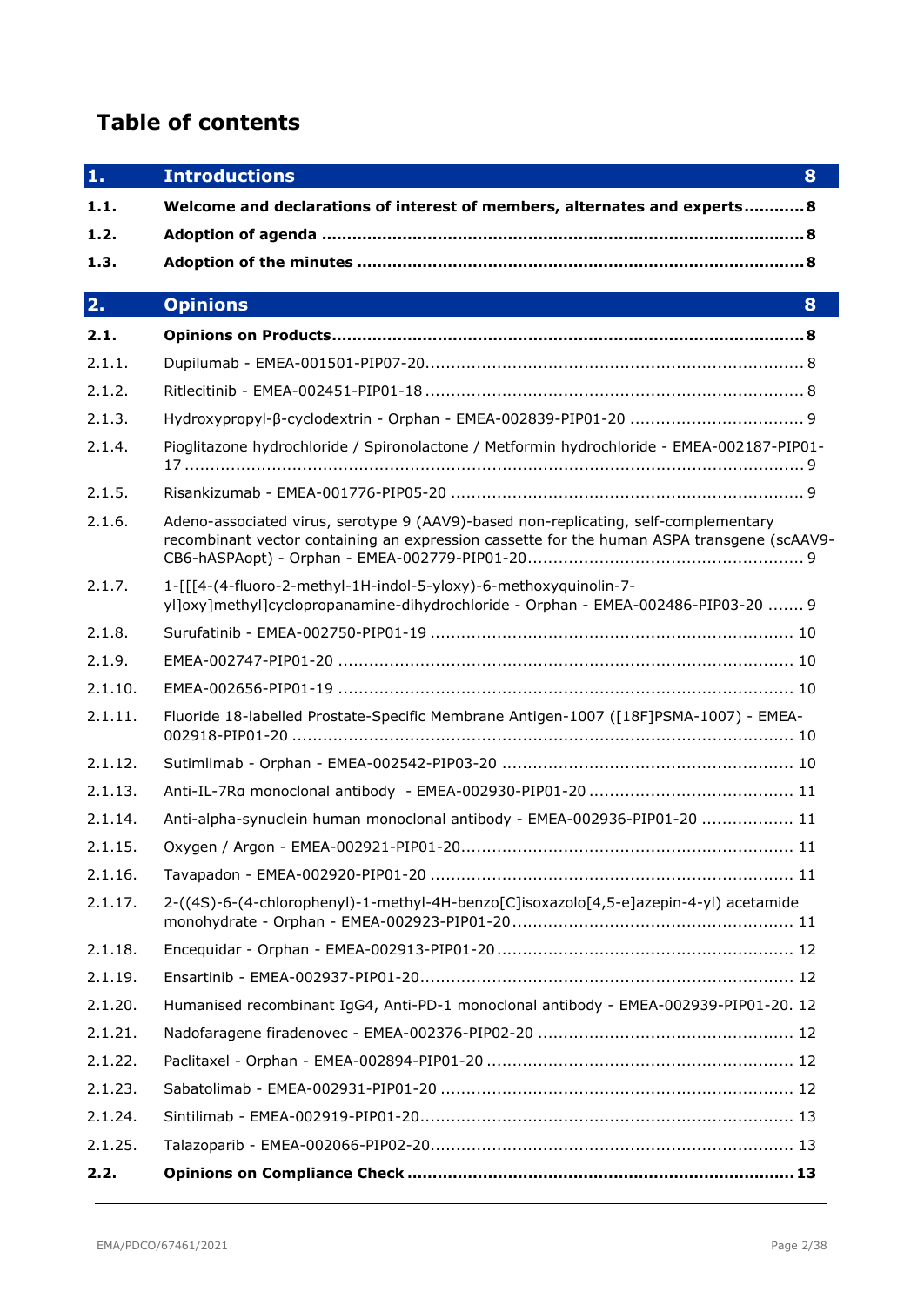# **Table of contents**

| 1.      | <b>Introductions</b><br>8                                                                                                                                                         |  |  |
|---------|-----------------------------------------------------------------------------------------------------------------------------------------------------------------------------------|--|--|
| 1.1.    | Welcome and declarations of interest of members, alternates and experts 8                                                                                                         |  |  |
| 1.2.    |                                                                                                                                                                                   |  |  |
| 1.3.    |                                                                                                                                                                                   |  |  |
| 2.      | <b>Opinions</b><br>8                                                                                                                                                              |  |  |
| 2.1.    |                                                                                                                                                                                   |  |  |
| 2.1.1.  |                                                                                                                                                                                   |  |  |
| 2.1.2.  |                                                                                                                                                                                   |  |  |
| 2.1.3.  |                                                                                                                                                                                   |  |  |
| 2.1.4.  | Pioglitazone hydrochloride / Spironolactone / Metformin hydrochloride - EMEA-002187-PIP01-                                                                                        |  |  |
| 2.1.5.  |                                                                                                                                                                                   |  |  |
| 2.1.6.  | Adeno-associated virus, serotype 9 (AAV9)-based non-replicating, self-complementary<br>recombinant vector containing an expression cassette for the human ASPA transgene (scAAV9- |  |  |
| 2.1.7.  | 1-[[[4-(4-fluoro-2-methyl-1H-indol-5-yloxy)-6-methoxyquinolin-7-<br>yl]oxy]methyl]cyclopropanamine-dihydrochloride - Orphan - EMEA-002486-PIP03-20  9                             |  |  |
| 2.1.8.  |                                                                                                                                                                                   |  |  |
| 2.1.9.  |                                                                                                                                                                                   |  |  |
| 2.1.10. |                                                                                                                                                                                   |  |  |
| 2.1.11. | Fluoride 18-labelled Prostate-Specific Membrane Antigen-1007 ([18F]PSMA-1007) - EMEA-                                                                                             |  |  |
| 2.1.12. |                                                                                                                                                                                   |  |  |
| 2.1.13. |                                                                                                                                                                                   |  |  |
| 2.1.14. | Anti-alpha-synuclein human monoclonal antibody - EMEA-002936-PIP01-20  11                                                                                                         |  |  |
| 2.1.15. |                                                                                                                                                                                   |  |  |
| 2.1.16. |                                                                                                                                                                                   |  |  |
| 2.1.17. | 2-((4S)-6-(4-chlorophenyl)-1-methyl-4H-benzo[C]isoxazolo[4,5-e]azepin-4-yl) acetamide                                                                                             |  |  |
| 2.1.18. |                                                                                                                                                                                   |  |  |
| 2.1.19. |                                                                                                                                                                                   |  |  |
| 2.1.20. | Humanised recombinant IgG4, Anti-PD-1 monoclonal antibody - EMEA-002939-PIP01-20. 12                                                                                              |  |  |
| 2.1.21. |                                                                                                                                                                                   |  |  |
| 2.1.22. |                                                                                                                                                                                   |  |  |
| 2.1.23. |                                                                                                                                                                                   |  |  |
| 2.1.24. |                                                                                                                                                                                   |  |  |
| 2.1.25. |                                                                                                                                                                                   |  |  |
| 2.2.    |                                                                                                                                                                                   |  |  |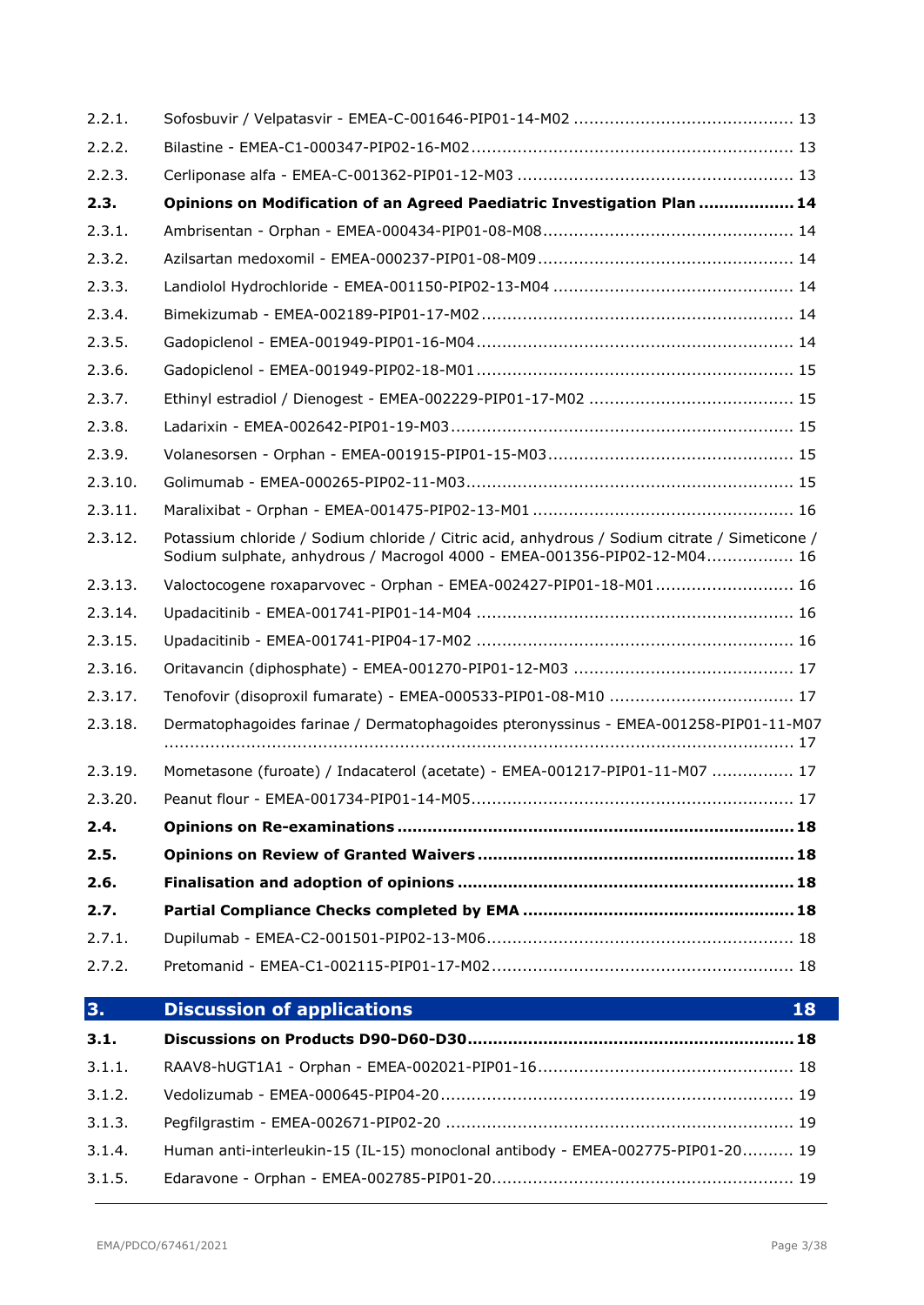| 2.2.2.  |                                                                                                                                                                           |  |  |
|---------|---------------------------------------------------------------------------------------------------------------------------------------------------------------------------|--|--|
| 2.2.3.  |                                                                                                                                                                           |  |  |
| 2.3.    | Opinions on Modification of an Agreed Paediatric Investigation Plan  14                                                                                                   |  |  |
| 2.3.1.  |                                                                                                                                                                           |  |  |
| 2.3.2.  |                                                                                                                                                                           |  |  |
| 2.3.3.  |                                                                                                                                                                           |  |  |
| 2.3.4.  |                                                                                                                                                                           |  |  |
| 2.3.5.  |                                                                                                                                                                           |  |  |
| 2.3.6.  |                                                                                                                                                                           |  |  |
| 2.3.7.  |                                                                                                                                                                           |  |  |
| 2.3.8.  |                                                                                                                                                                           |  |  |
| 2.3.9.  |                                                                                                                                                                           |  |  |
| 2.3.10. |                                                                                                                                                                           |  |  |
| 2.3.11. |                                                                                                                                                                           |  |  |
| 2.3.12. | Potassium chloride / Sodium chloride / Citric acid, anhydrous / Sodium citrate / Simeticone /<br>Sodium sulphate, anhydrous / Macrogol 4000 - EMEA-001356-PIP02-12-M04 16 |  |  |
| 2.3.13. | Valoctocogene roxaparvovec - Orphan - EMEA-002427-PIP01-18-M01 16                                                                                                         |  |  |
| 2.3.14. |                                                                                                                                                                           |  |  |
| 2.3.15. |                                                                                                                                                                           |  |  |
| 2.3.16. |                                                                                                                                                                           |  |  |
| 2.3.17. | Tenofovir (disoproxil fumarate) - EMEA-000533-PIP01-08-M10  17                                                                                                            |  |  |
| 2.3.18. | Dermatophagoides farinae / Dermatophagoides pteronyssinus - EMEA-001258-PIP01-11-M07                                                                                      |  |  |
| 2.3.19. | Mometasone (furoate) / Indacaterol (acetate) - EMEA-001217-PIP01-11-M07  17                                                                                               |  |  |
| 2.3.20. |                                                                                                                                                                           |  |  |
|         |                                                                                                                                                                           |  |  |
| 2.4.    |                                                                                                                                                                           |  |  |
| 2.5.    |                                                                                                                                                                           |  |  |
| 2.6.    |                                                                                                                                                                           |  |  |
| 2.7.    |                                                                                                                                                                           |  |  |
| 2.7.1.  |                                                                                                                                                                           |  |  |
| 2.7.2.  |                                                                                                                                                                           |  |  |
| 3.      | <b>Discussion of applications</b><br>18                                                                                                                                   |  |  |
| 3.1.    |                                                                                                                                                                           |  |  |
| 3.1.1.  |                                                                                                                                                                           |  |  |
| 3.1.2.  |                                                                                                                                                                           |  |  |
| 3.1.3.  |                                                                                                                                                                           |  |  |
| 3.1.4.  | Human anti-interleukin-15 (IL-15) monoclonal antibody - EMEA-002775-PIP01-20 19                                                                                           |  |  |

2.2.1. Sofosbuvir / Velpatasvir - [EMEA-C-001646-PIP01-14-M02](#page-12-3) ........................................... 13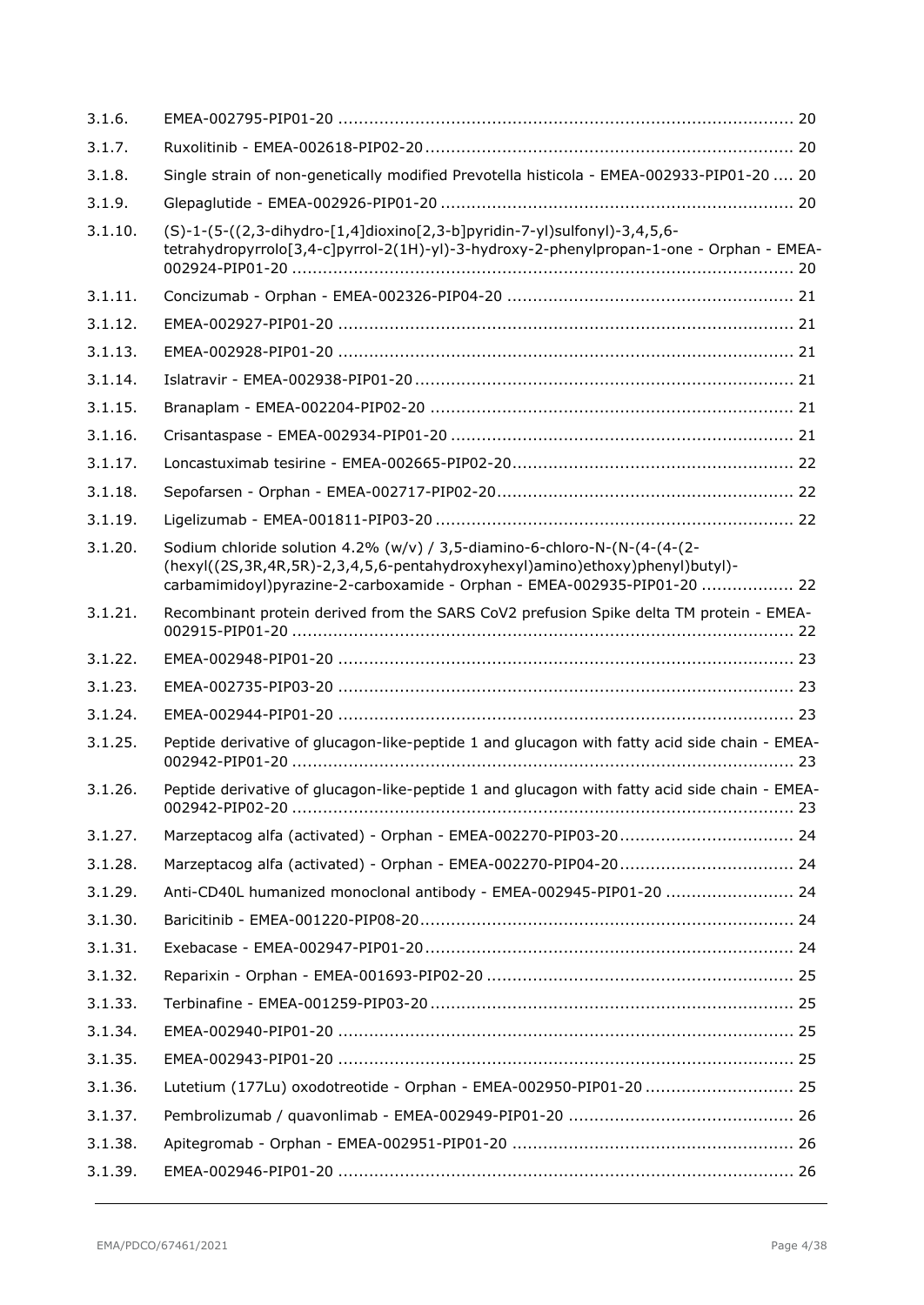| 3.1.6.  |                                                                                                                                                                                                                                       |  |
|---------|---------------------------------------------------------------------------------------------------------------------------------------------------------------------------------------------------------------------------------------|--|
| 3.1.7.  |                                                                                                                                                                                                                                       |  |
| 3.1.8.  | Single strain of non-genetically modified Prevotella histicola - EMEA-002933-PIP01-20  20                                                                                                                                             |  |
| 3.1.9.  |                                                                                                                                                                                                                                       |  |
| 3.1.10. | (S)-1-(5-((2,3-dihydro-[1,4]dioxino[2,3-b]pyridin-7-yl)sulfonyl)-3,4,5,6-<br>tetrahydropyrrolo[3,4-c]pyrrol-2(1H)-yl)-3-hydroxy-2-phenylpropan-1-one - Orphan - EMEA-                                                                 |  |
| 3.1.11. |                                                                                                                                                                                                                                       |  |
| 3.1.12. |                                                                                                                                                                                                                                       |  |
| 3.1.13. |                                                                                                                                                                                                                                       |  |
| 3.1.14. |                                                                                                                                                                                                                                       |  |
| 3.1.15. |                                                                                                                                                                                                                                       |  |
| 3.1.16. |                                                                                                                                                                                                                                       |  |
| 3.1.17. |                                                                                                                                                                                                                                       |  |
| 3.1.18. |                                                                                                                                                                                                                                       |  |
| 3.1.19. |                                                                                                                                                                                                                                       |  |
| 3.1.20. | Sodium chloride solution 4.2% (w/v) / 3,5-diamino-6-chloro-N-(N-(4-(4-(2-<br>(hexyl((2S,3R,4R,5R)-2,3,4,5,6-pentahydroxyhexyl)amino)ethoxy)phenyl)butyl)-<br>carbamimidoyl)pyrazine-2-carboxamide - Orphan - EMEA-002935-PIP01-20  22 |  |
| 3.1.21. | Recombinant protein derived from the SARS CoV2 prefusion Spike delta TM protein - EMEA-                                                                                                                                               |  |
| 3.1.22. |                                                                                                                                                                                                                                       |  |
| 3.1.23. |                                                                                                                                                                                                                                       |  |
| 3.1.24. |                                                                                                                                                                                                                                       |  |
| 3.1.25. | Peptide derivative of glucagon-like-peptide 1 and glucagon with fatty acid side chain - EMEA-                                                                                                                                         |  |
| 3.1.26. | Peptide derivative of glucagon-like-peptide 1 and glucagon with fatty acid side chain - EMEA-                                                                                                                                         |  |
| 3.1.27. |                                                                                                                                                                                                                                       |  |
| 3.1.28. |                                                                                                                                                                                                                                       |  |
| 3.1.29. | Anti-CD40L humanized monoclonal antibody - EMEA-002945-PIP01-20  24                                                                                                                                                                   |  |
| 3.1.30. |                                                                                                                                                                                                                                       |  |
| 3.1.31. |                                                                                                                                                                                                                                       |  |
| 3.1.32. |                                                                                                                                                                                                                                       |  |
| 3.1.33. |                                                                                                                                                                                                                                       |  |
| 3.1.34. |                                                                                                                                                                                                                                       |  |
| 3.1.35. |                                                                                                                                                                                                                                       |  |
| 3.1.36. | Lutetium (177Lu) oxodotreotide - Orphan - EMEA-002950-PIP01-20  25                                                                                                                                                                    |  |
| 3.1.37. |                                                                                                                                                                                                                                       |  |
| 3.1.38. |                                                                                                                                                                                                                                       |  |
| 3.1.39. |                                                                                                                                                                                                                                       |  |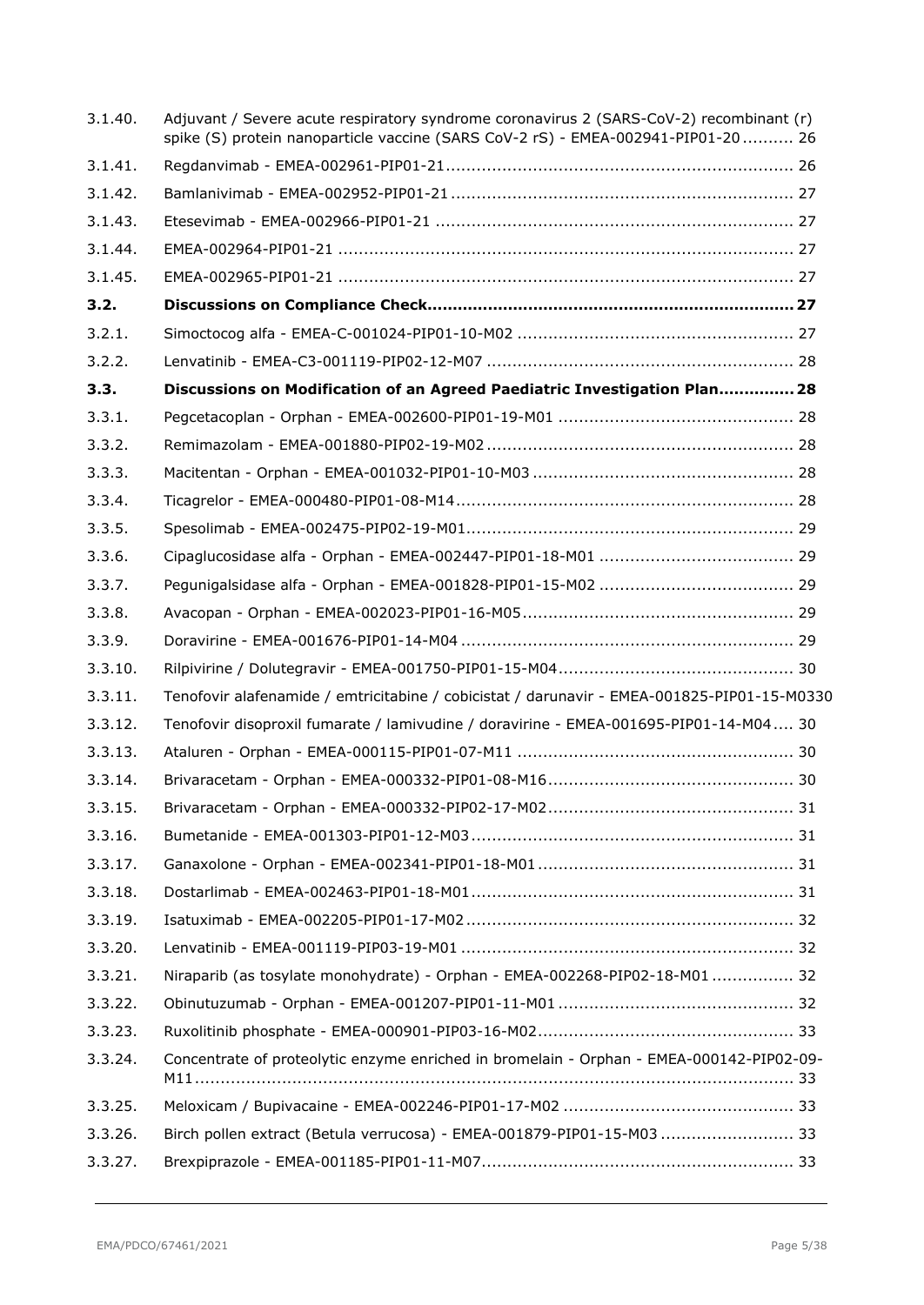| 3.1.40. | Adjuvant / Severe acute respiratory syndrome coronavirus 2 (SARS-CoV-2) recombinant (r)<br>spike (S) protein nanoparticle vaccine (SARS CoV-2 rS) - EMEA-002941-PIP01-20  26 |
|---------|------------------------------------------------------------------------------------------------------------------------------------------------------------------------------|
| 3.1.41. |                                                                                                                                                                              |
| 3.1.42. |                                                                                                                                                                              |
| 3.1.43. |                                                                                                                                                                              |
| 3.1.44. |                                                                                                                                                                              |
| 3.1.45. |                                                                                                                                                                              |
| 3.2.    |                                                                                                                                                                              |
| 3.2.1.  |                                                                                                                                                                              |
| 3.2.2.  |                                                                                                                                                                              |
| 3.3.    | Discussions on Modification of an Agreed Paediatric Investigation Plan 28                                                                                                    |
| 3.3.1.  |                                                                                                                                                                              |
| 3.3.2.  |                                                                                                                                                                              |
| 3.3.3.  |                                                                                                                                                                              |
| 3.3.4.  |                                                                                                                                                                              |
| 3.3.5.  |                                                                                                                                                                              |
| 3.3.6.  |                                                                                                                                                                              |
| 3.3.7.  |                                                                                                                                                                              |
| 3.3.8.  |                                                                                                                                                                              |
| 3.3.9.  |                                                                                                                                                                              |
| 3.3.10. |                                                                                                                                                                              |
| 3.3.11. | Tenofovir alafenamide / emtricitabine / cobicistat / darunavir - EMEA-001825-PIP01-15-M0330                                                                                  |
| 3.3.12. | Tenofovir disoproxil fumarate / lamivudine / doravirine - EMEA-001695-PIP01-14-M04 30                                                                                        |
| 3.3.13. |                                                                                                                                                                              |
| 3.3.14. |                                                                                                                                                                              |
| 3.3.15. |                                                                                                                                                                              |
| 3.3.16. |                                                                                                                                                                              |
| 3.3.17. |                                                                                                                                                                              |
| 3.3.18. |                                                                                                                                                                              |
| 3.3.19. |                                                                                                                                                                              |
| 3.3.20. |                                                                                                                                                                              |
| 3.3.21. | Niraparib (as tosylate monohydrate) - Orphan - EMEA-002268-PIP02-18-M01 32                                                                                                   |
| 3.3.22. |                                                                                                                                                                              |
| 3.3.23. |                                                                                                                                                                              |
| 3.3.24. | Concentrate of proteolytic enzyme enriched in bromelain - Orphan - EMEA-000142-PIP02-09-                                                                                     |
| 3.3.25. |                                                                                                                                                                              |
| 3.3.26. | Birch pollen extract (Betula verrucosa) - EMEA-001879-PIP01-15-M03  33                                                                                                       |
| 3.3.27. |                                                                                                                                                                              |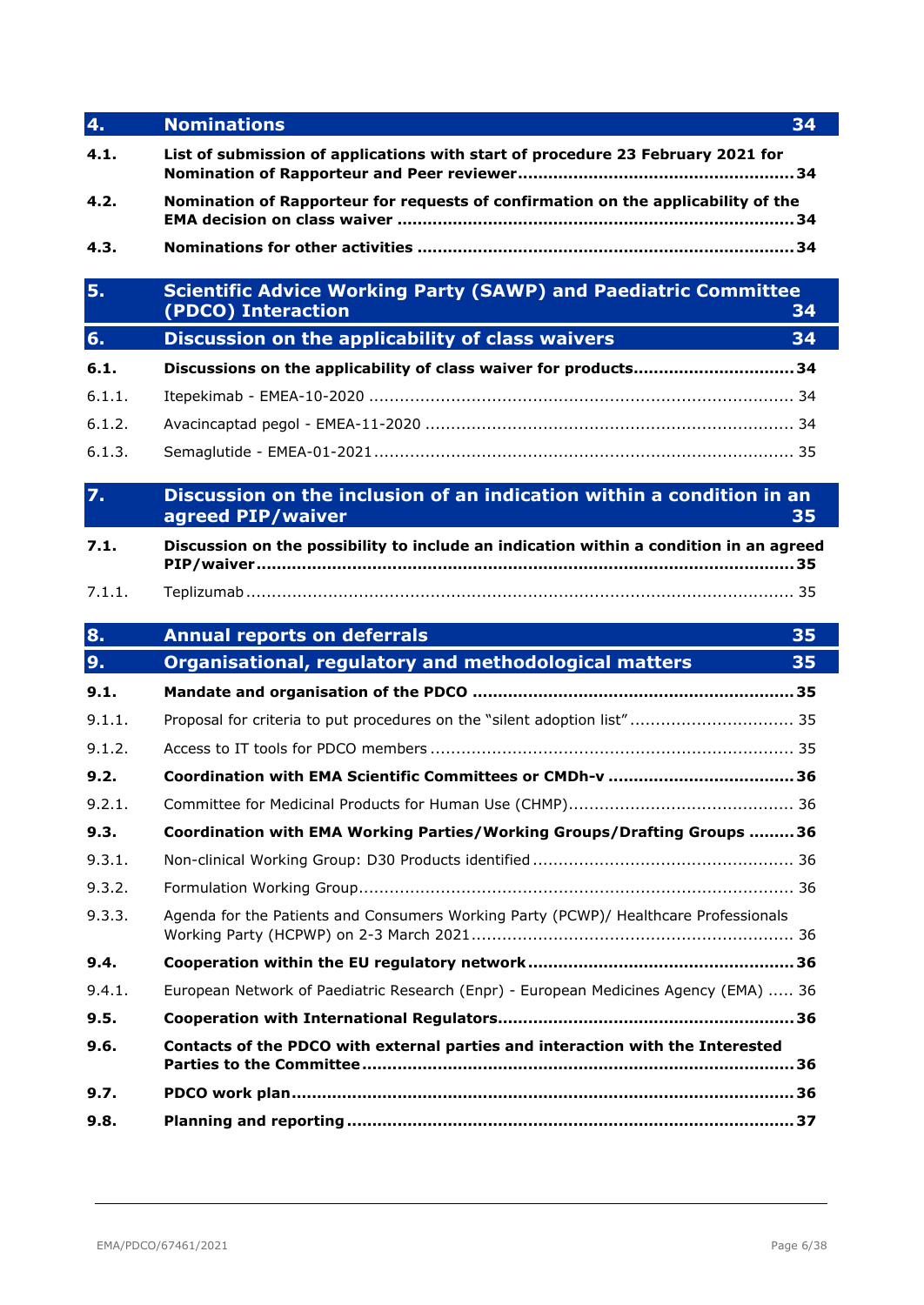| 4.     | <b>Nominations</b><br>34                                                                           |  |
|--------|----------------------------------------------------------------------------------------------------|--|
| 4.1.   | List of submission of applications with start of procedure 23 February 2021 for                    |  |
| 4.2.   | Nomination of Rapporteur for requests of confirmation on the applicability of the                  |  |
| 4.3.   |                                                                                                    |  |
| 5.     | <b>Scientific Advice Working Party (SAWP) and Paediatric Committee</b><br>(PDCO) Interaction<br>34 |  |
| 6.     | Discussion on the applicability of class waivers<br>34                                             |  |
| 6.1.   | Discussions on the applicability of class waiver for products34                                    |  |
| 6.1.1. |                                                                                                    |  |
| 6.1.2. |                                                                                                    |  |
| 6.1.3. |                                                                                                    |  |
| 7.     | Discussion on the inclusion of an indication within a condition in an<br>agreed PIP/waiver<br>35   |  |
| 7.1.   | Discussion on the possibility to include an indication within a condition in an agreed             |  |
| 7.1.1. |                                                                                                    |  |
| 8.     | <b>Annual reports on deferrals</b><br>35                                                           |  |
|        |                                                                                                    |  |
| 9.     | Organisational, regulatory and methodological matters<br>35                                        |  |
| 9.1.   |                                                                                                    |  |
| 9.1.1. | Proposal for criteria to put procedures on the "silent adoption list" 35                           |  |
| 9.1.2. |                                                                                                    |  |
| 9.2.   |                                                                                                    |  |
| 9.2.1. |                                                                                                    |  |
| 9.3.   | Coordination with EMA Working Parties/Working Groups/Drafting Groups 36                            |  |
| 9.3.1. |                                                                                                    |  |
| 9.3.2. |                                                                                                    |  |
| 9.3.3. | Agenda for the Patients and Consumers Working Party (PCWP)/ Healthcare Professionals               |  |
| 9.4.   |                                                                                                    |  |
| 9.4.1. | European Network of Paediatric Research (Enpr) - European Medicines Agency (EMA)  36               |  |
| 9.5.   |                                                                                                    |  |
| 9.6.   | Contacts of the PDCO with external parties and interaction with the Interested                     |  |
| 9.7.   |                                                                                                    |  |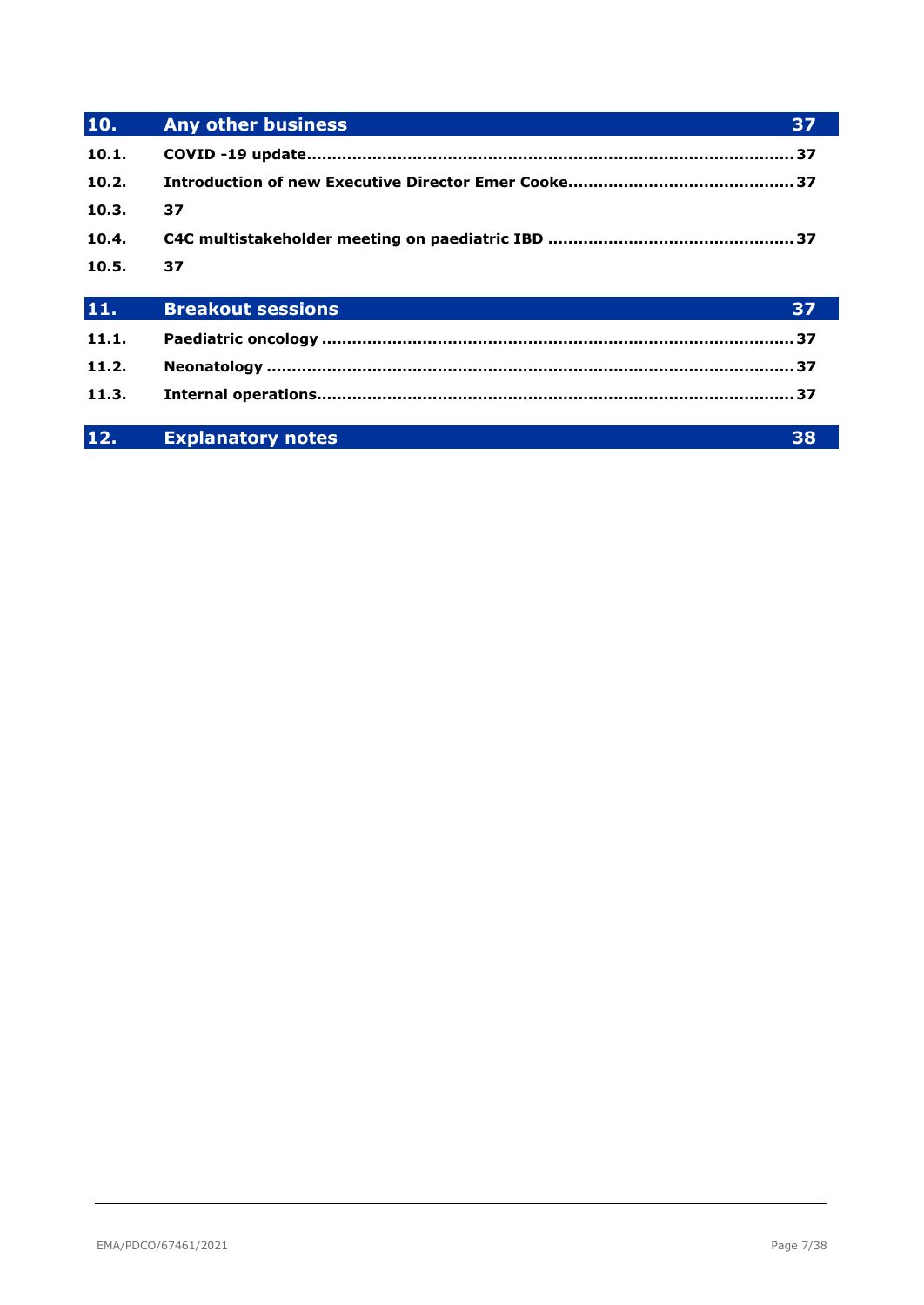| 10.   | <b>Any other business</b><br>37 |  |
|-------|---------------------------------|--|
| 10.1. |                                 |  |
| 10.2. |                                 |  |
| 10.3. | 37                              |  |
| 10.4. |                                 |  |
| 10.5. | 37                              |  |
| 11.   | <b>Breakout sessions</b><br>37  |  |
|       |                                 |  |
| 11.1. |                                 |  |
| 11.2. |                                 |  |
| 11.3. |                                 |  |

| <b>Explanatory notes</b> |  |
|--------------------------|--|
|                          |  |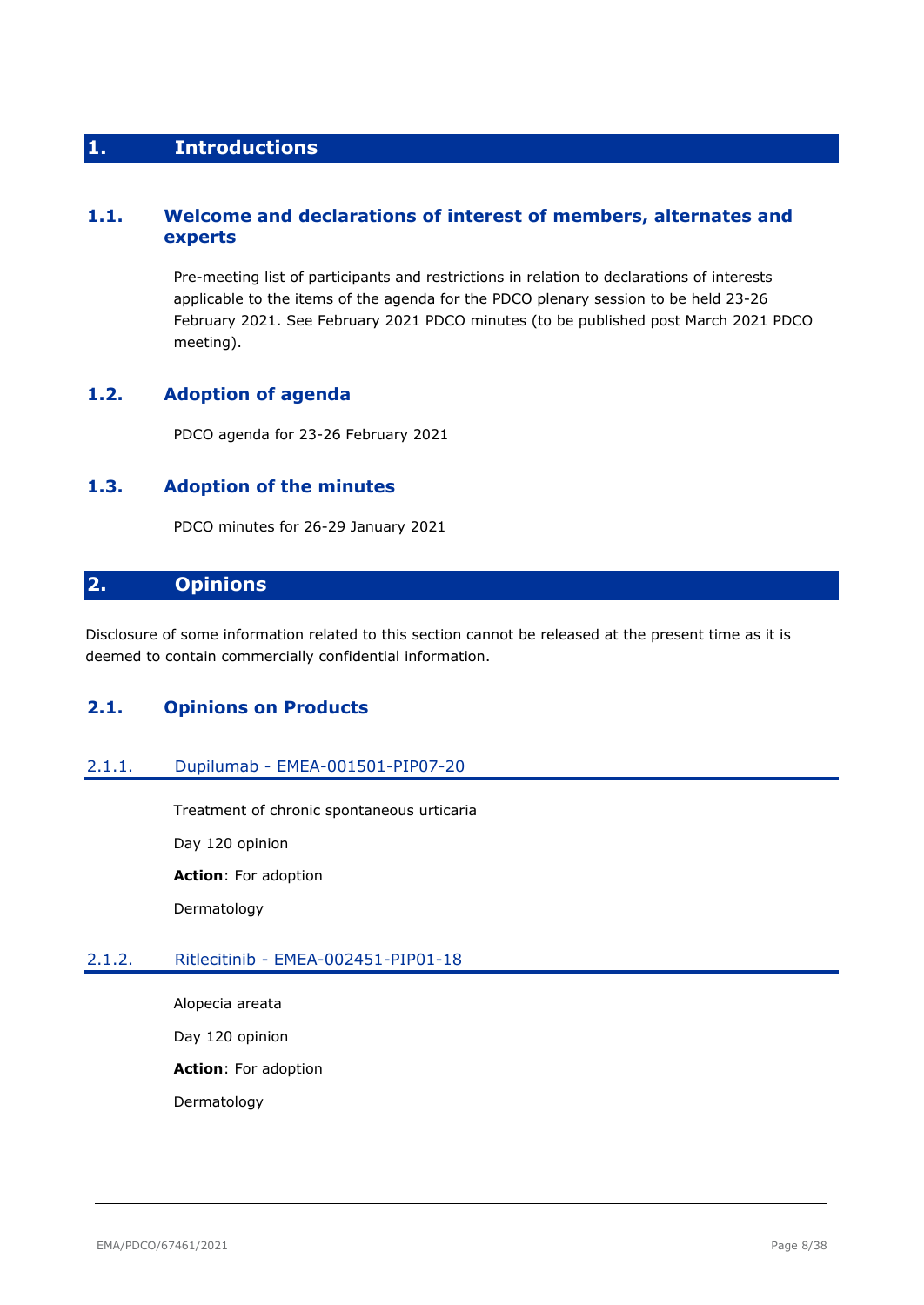# <span id="page-7-0"></span>**1. Introductions**

# <span id="page-7-1"></span>**1.1. Welcome and declarations of interest of members, alternates and experts**

Pre-meeting list of participants and restrictions in relation to declarations of interests applicable to the items of the agenda for the PDCO plenary session to be held 23-26 February 2021. See February 2021 PDCO minutes (to be published post March 2021 PDCO meeting).

# <span id="page-7-2"></span>**1.2. Adoption of agenda**

PDCO agenda for 23-26 February 2021

# <span id="page-7-3"></span>**1.3. Adoption of the minutes**

PDCO minutes for 26-29 January 2021

# <span id="page-7-4"></span>**2. Opinions**

Disclosure of some information related to this section cannot be released at the present time as it is deemed to contain commercially confidential information.

# <span id="page-7-5"></span>**2.1. Opinions on Products**

# <span id="page-7-6"></span>2.1.1. Dupilumab - EMEA-001501-PIP07-20

Treatment of chronic spontaneous urticaria Day 120 opinion **Action**: For adoption Dermatology

# <span id="page-7-7"></span>2.1.2. Ritlecitinib - EMEA-002451-PIP01-18

Alopecia areata Day 120 opinion **Action**: For adoption Dermatology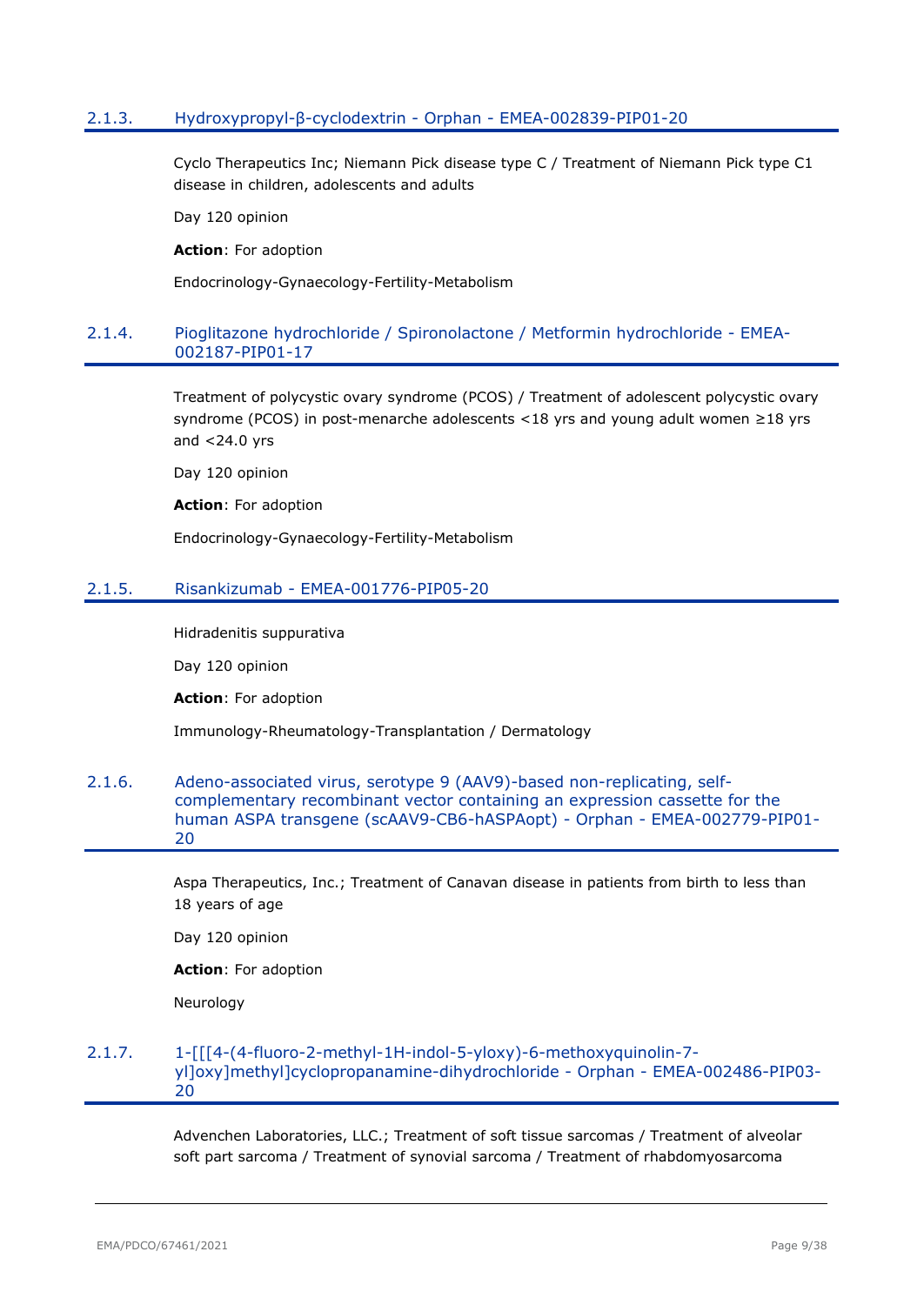### <span id="page-8-0"></span>2.1.3. Hydroxypropyl-β-cyclodextrin - Orphan - EMEA-002839-PIP01-20

Cyclo Therapeutics Inc; Niemann Pick disease type C / Treatment of Niemann Pick type C1 disease in children, adolescents and adults

Day 120 opinion

**Action**: For adoption

Endocrinology-Gynaecology-Fertility-Metabolism

### <span id="page-8-1"></span>2.1.4. Pioglitazone hydrochloride / Spironolactone / Metformin hydrochloride - EMEA-002187-PIP01-17

Treatment of polycystic ovary syndrome (PCOS) / Treatment of adolescent polycystic ovary syndrome (PCOS) in post-menarche adolescents <18 yrs and young adult women ≥18 yrs and  $<$  24.0 yrs

Day 120 opinion

**Action**: For adoption

Endocrinology-Gynaecology-Fertility-Metabolism

#### <span id="page-8-2"></span>2.1.5. Risankizumab - EMEA-001776-PIP05-20

Hidradenitis suppurativa

Day 120 opinion

**Action**: For adoption

Immunology-Rheumatology-Transplantation / Dermatology

#### <span id="page-8-3"></span>2.1.6. Adeno-associated virus, serotype 9 (AAV9)-based non-replicating, selfcomplementary recombinant vector containing an expression cassette for the human ASPA transgene (scAAV9-CB6-hASPAopt) - Orphan - EMEA-002779-PIP01- 20

Aspa Therapeutics, Inc.; Treatment of Canavan disease in patients from birth to less than 18 years of age

Day 120 opinion

**Action**: For adoption

Neurology

#### <span id="page-8-4"></span>2.1.7. 1-[[[4-(4-fluoro-2-methyl-1H-indol-5-yloxy)-6-methoxyquinolin-7 yl]oxy]methyl]cyclopropanamine-dihydrochloride - Orphan - EMEA-002486-PIP03- 20

Advenchen Laboratories, LLC.; Treatment of soft tissue sarcomas / Treatment of alveolar soft part sarcoma / Treatment of synovial sarcoma / Treatment of rhabdomyosarcoma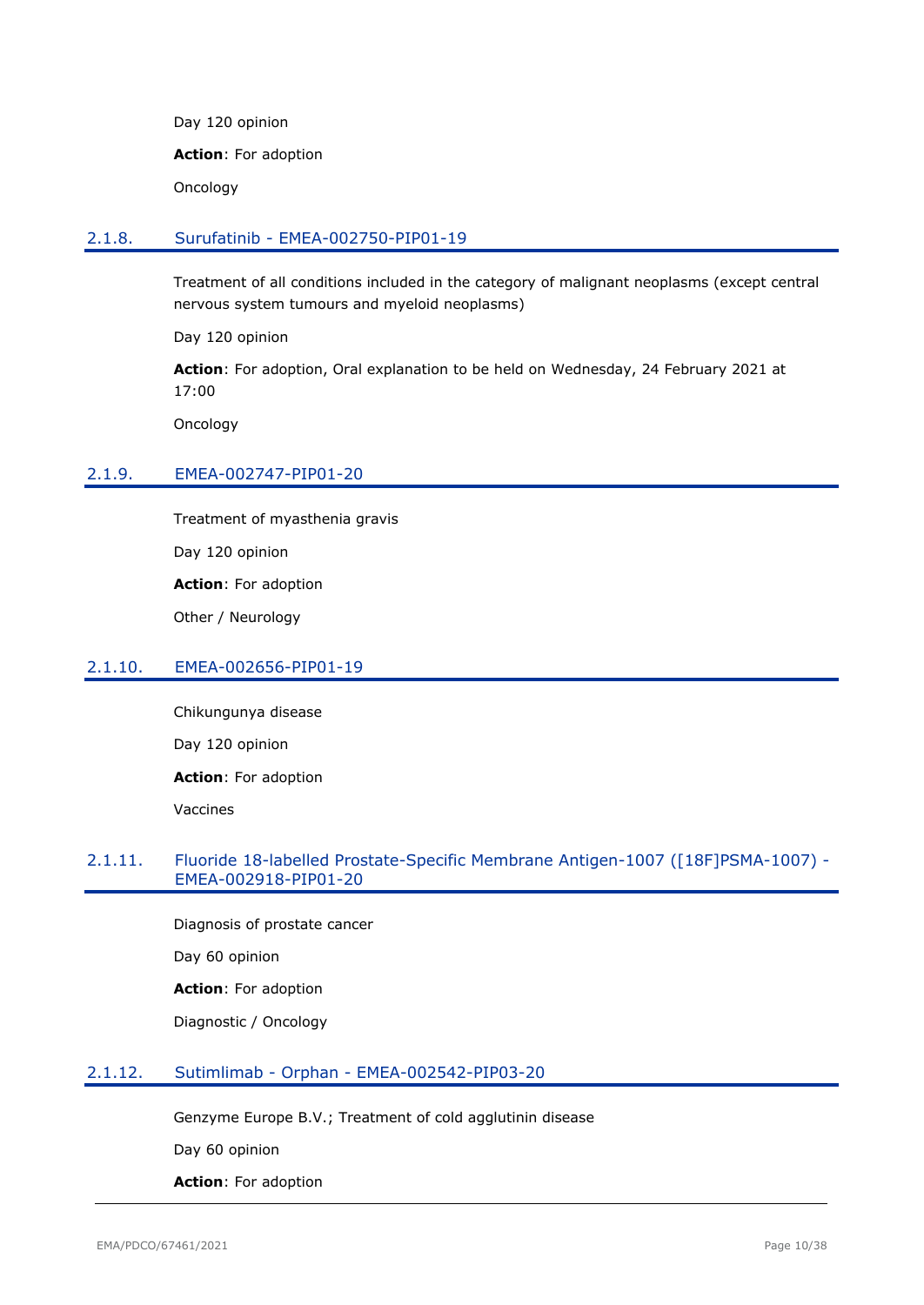Day 120 opinion

**Action**: For adoption

Oncology

#### <span id="page-9-0"></span>2.1.8. Surufatinib - EMEA-002750-PIP01-19

Treatment of all conditions included in the category of malignant neoplasms (except central nervous system tumours and myeloid neoplasms)

Day 120 opinion

**Action**: For adoption, Oral explanation to be held on Wednesday, 24 February 2021 at 17:00

Oncology

### <span id="page-9-1"></span>2.1.9. EMEA-002747-PIP01-20

Treatment of myasthenia gravis

Day 120 opinion

**Action**: For adoption

Other / Neurology

# <span id="page-9-2"></span>2.1.10. EMEA-002656-PIP01-19

Chikungunya disease Day 120 opinion **Action**: For adoption Vaccines

### <span id="page-9-3"></span>2.1.11. Fluoride 18-labelled Prostate-Specific Membrane Antigen-1007 ([18F]PSMA-1007) - EMEA-002918-PIP01-20

Diagnosis of prostate cancer Day 60 opinion **Action**: For adoption

Diagnostic / Oncology

### <span id="page-9-4"></span>2.1.12. Sutimlimab - Orphan - EMEA-002542-PIP03-20

Genzyme Europe B.V.; Treatment of cold agglutinin disease

Day 60 opinion

**Action**: For adoption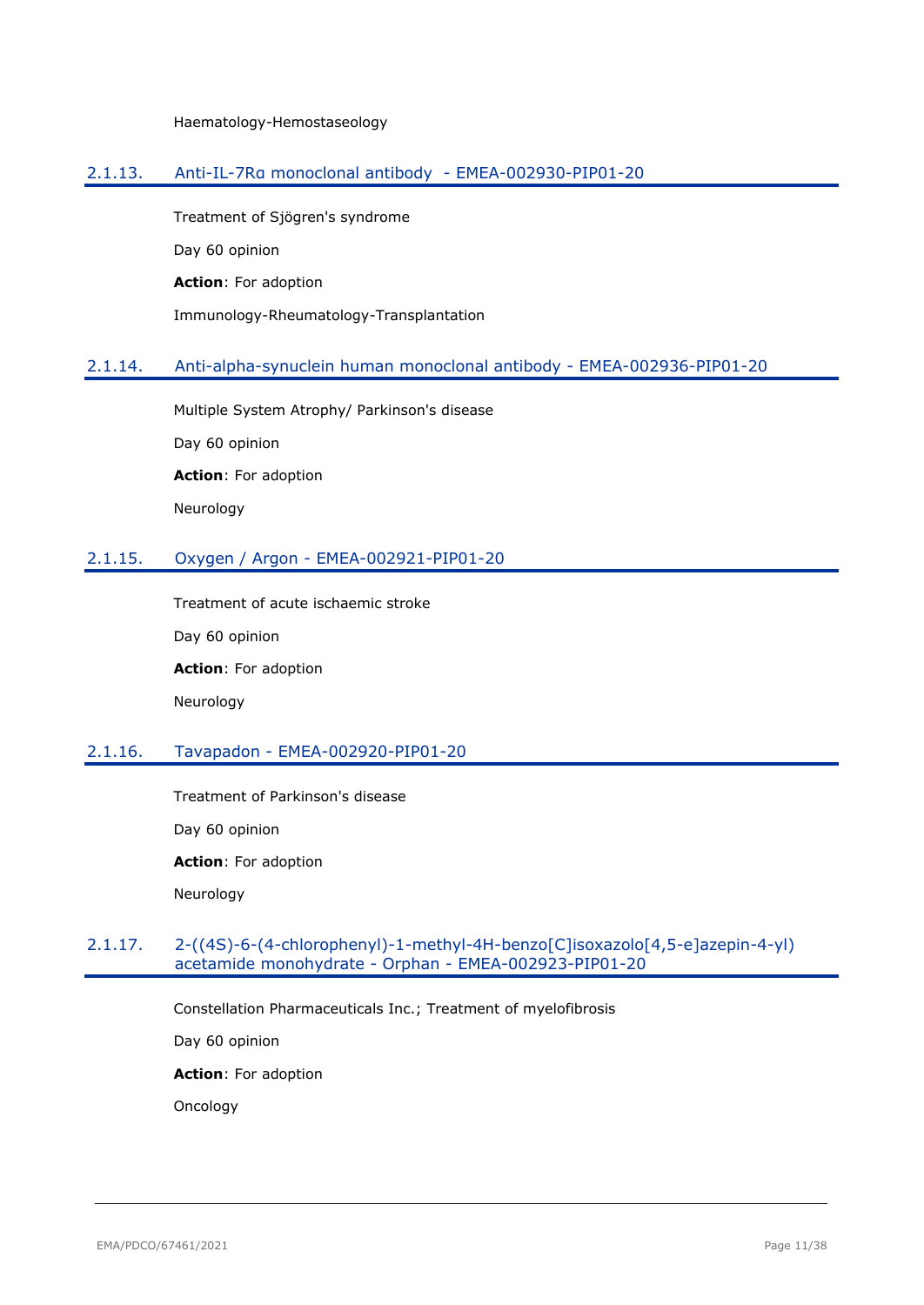Haematology-Hemostaseology

### <span id="page-10-0"></span>2.1.13. Anti-IL-7Rα monoclonal antibody - EMEA-002930-PIP01-20

Treatment of Sjögren's syndrome Day 60 opinion **Action**: For adoption Immunology-Rheumatology-Transplantation

# <span id="page-10-1"></span>2.1.14. Anti-alpha-synuclein human monoclonal antibody - EMEA-002936-PIP01-20

Multiple System Atrophy/ Parkinson's disease Day 60 opinion **Action**: For adoption Neurology

# <span id="page-10-2"></span>2.1.15. Oxygen / Argon - EMEA-002921-PIP01-20

Treatment of acute ischaemic stroke Day 60 opinion **Action**: For adoption Neurology

# <span id="page-10-3"></span>2.1.16. Tavapadon - EMEA-002920-PIP01-20

Treatment of Parkinson's disease Day 60 opinion **Action**: For adoption Neurology

# <span id="page-10-4"></span>2.1.17. 2-((4S)-6-(4-chlorophenyl)-1-methyl-4H-benzo[C]isoxazolo[4,5-e]azepin-4-yl) acetamide monohydrate - Orphan - EMEA-002923-PIP01-20

Constellation Pharmaceuticals Inc.; Treatment of myelofibrosis

Day 60 opinion

**Action**: For adoption

Oncology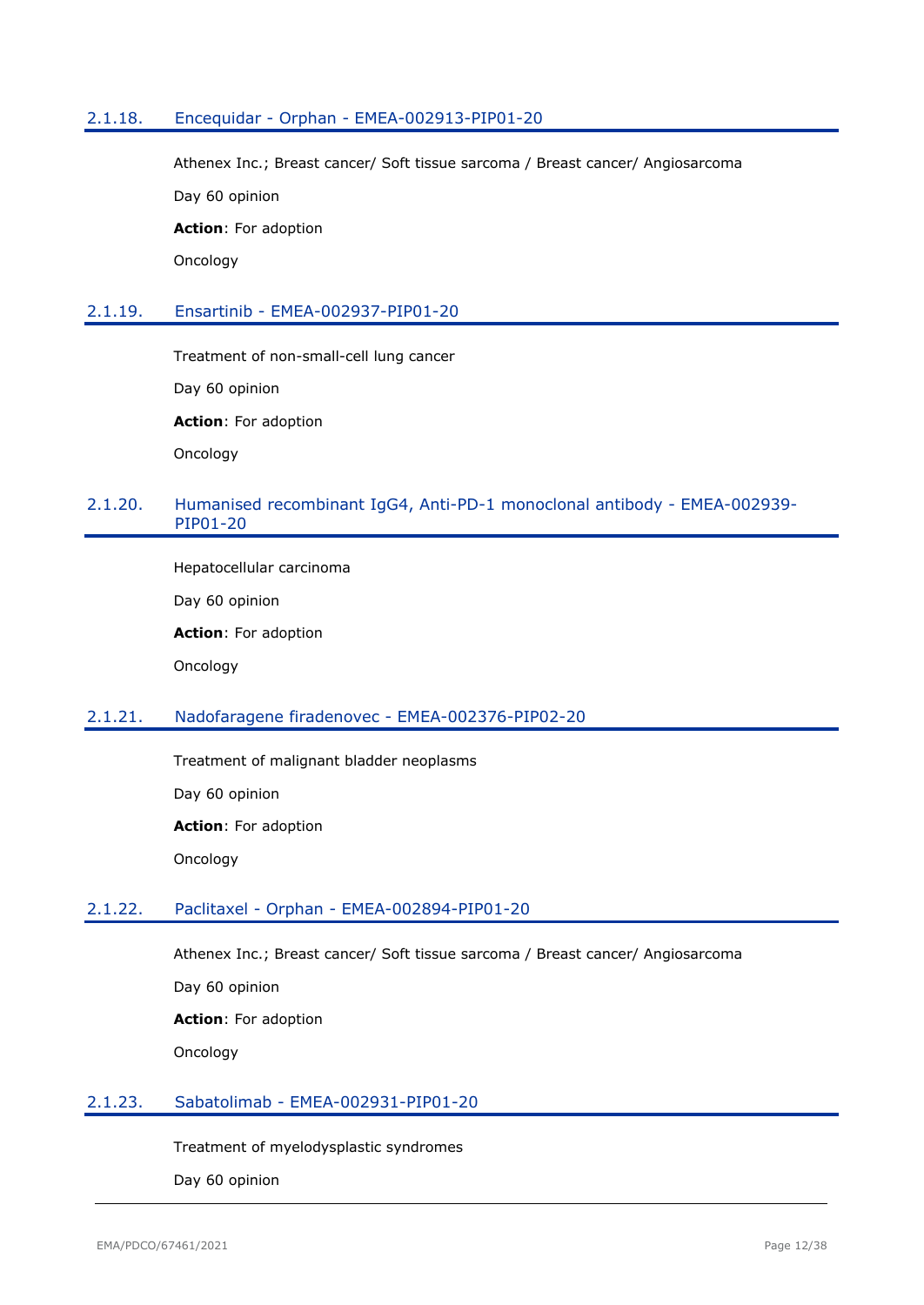### <span id="page-11-0"></span>2.1.18. Encequidar - Orphan - EMEA-002913-PIP01-20

Athenex Inc.; Breast cancer/ Soft tissue sarcoma / Breast cancer/ Angiosarcoma

Day 60 opinion

**Action**: For adoption

Oncology

#### <span id="page-11-1"></span>2.1.19. Ensartinib - EMEA-002937-PIP01-20

Treatment of non-small-cell lung cancer

Day 60 opinion

**Action**: For adoption

Oncology

# <span id="page-11-2"></span>2.1.20. Humanised recombinant IgG4, Anti-PD-1 monoclonal antibody - EMEA-002939- PIP01-20

Hepatocellular carcinoma

Day 60 opinion

**Action**: For adoption

Oncology

#### <span id="page-11-3"></span>2.1.21. Nadofaragene firadenovec - EMEA-002376-PIP02-20

Treatment of malignant bladder neoplasms

Day 60 opinion

**Action**: For adoption

Oncology

#### <span id="page-11-4"></span>2.1.22. Paclitaxel - Orphan - EMEA-002894-PIP01-20

Athenex Inc.; Breast cancer/ Soft tissue sarcoma / Breast cancer/ Angiosarcoma

Day 60 opinion

**Action**: For adoption

Oncology

#### <span id="page-11-5"></span>2.1.23. Sabatolimab - EMEA-002931-PIP01-20

Treatment of myelodysplastic syndromes

Day 60 opinion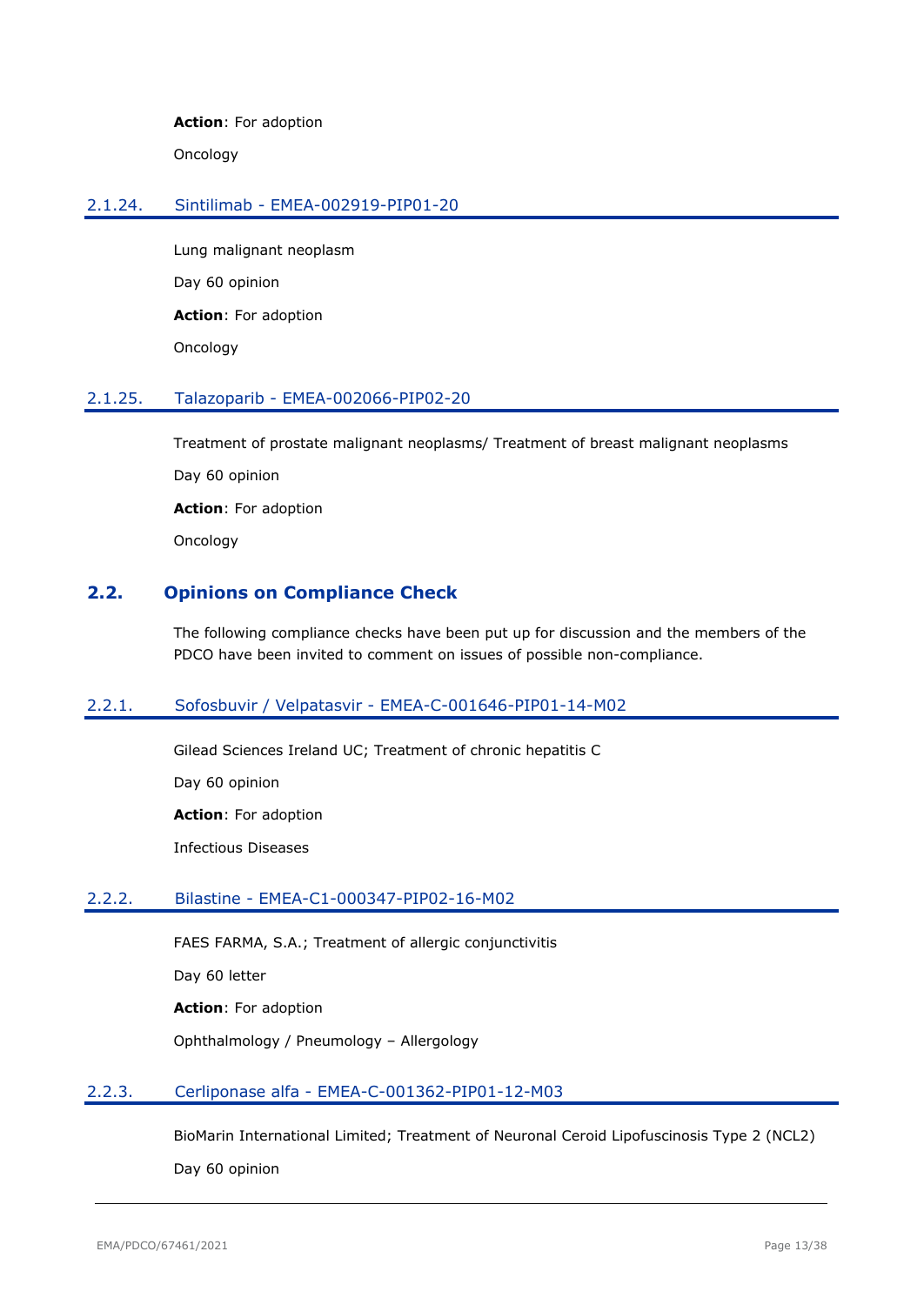**Action**: For adoption

Oncology

# <span id="page-12-0"></span>2.1.24. Sintilimab - EMEA-002919-PIP01-20

Lung malignant neoplasm Day 60 opinion **Action**: For adoption Oncology

# <span id="page-12-1"></span>2.1.25. Talazoparib - EMEA-002066-PIP02-20

Treatment of prostate malignant neoplasms/ Treatment of breast malignant neoplasms

Day 60 opinion

**Action**: For adoption

Oncology

# <span id="page-12-2"></span>**2.2. Opinions on Compliance Check**

The following compliance checks have been put up for discussion and the members of the PDCO have been invited to comment on issues of possible non-compliance.

### <span id="page-12-3"></span>2.2.1. Sofosbuvir / Velpatasvir - EMEA-C-001646-PIP01-14-M02

Gilead Sciences Ireland UC; Treatment of chronic hepatitis C

Day 60 opinion

**Action**: For adoption

Infectious Diseases

### <span id="page-12-4"></span>2.2.2. Bilastine - EMEA-C1-000347-PIP02-16-M02

FAES FARMA, S.A.; Treatment of allergic conjunctivitis

Day 60 letter

**Action**: For adoption

Ophthalmology / Pneumology – Allergology

### <span id="page-12-5"></span>2.2.3. Cerliponase alfa - EMEA-C-001362-PIP01-12-M03

BioMarin International Limited; Treatment of Neuronal Ceroid Lipofuscinosis Type 2 (NCL2) Day 60 opinion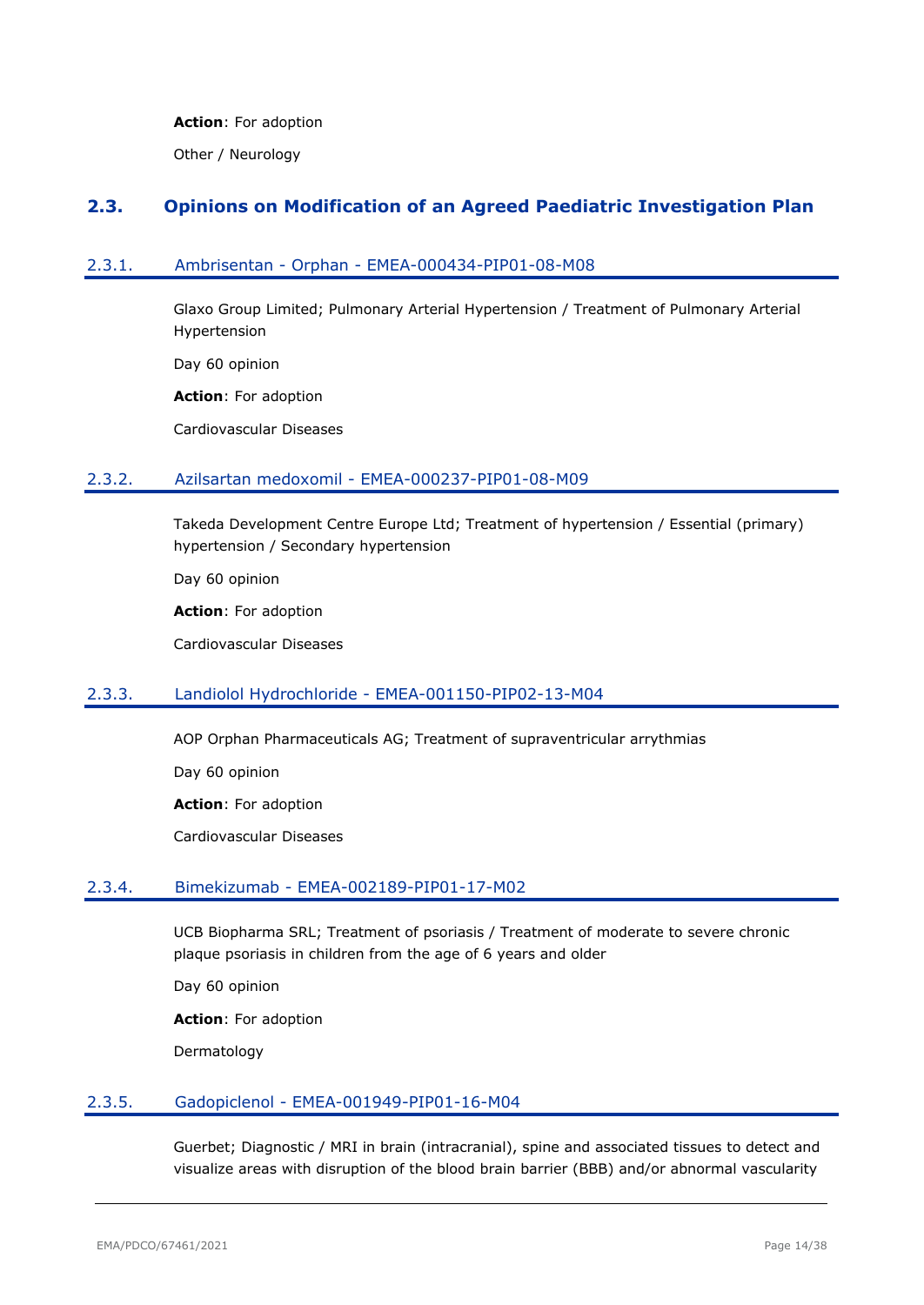#### **Action**: For adoption

Other / Neurology

# <span id="page-13-0"></span>**2.3. Opinions on Modification of an Agreed Paediatric Investigation Plan**

### <span id="page-13-1"></span>2.3.1. Ambrisentan - Orphan - EMEA-000434-PIP01-08-M08

Glaxo Group Limited; Pulmonary Arterial Hypertension / Treatment of Pulmonary Arterial Hypertension

Day 60 opinion

**Action**: For adoption

Cardiovascular Diseases

#### <span id="page-13-2"></span>2.3.2. Azilsartan medoxomil - EMEA-000237-PIP01-08-M09

Takeda Development Centre Europe Ltd; Treatment of hypertension / Essential (primary) hypertension / Secondary hypertension

Day 60 opinion

**Action**: For adoption

Cardiovascular Diseases

### <span id="page-13-3"></span>2.3.3. Landiolol Hydrochloride - EMEA-001150-PIP02-13-M04

AOP Orphan Pharmaceuticals AG; Treatment of supraventricular arrythmias

Day 60 opinion

**Action**: For adoption

Cardiovascular Diseases

#### <span id="page-13-4"></span>2.3.4. Bimekizumab - EMEA-002189-PIP01-17-M02

UCB Biopharma SRL; Treatment of psoriasis / Treatment of moderate to severe chronic plaque psoriasis in children from the age of 6 years and older

Day 60 opinion

**Action**: For adoption

Dermatology

#### <span id="page-13-5"></span>2.3.5. Gadopiclenol - EMEA-001949-PIP01-16-M04

Guerbet; Diagnostic / MRI in brain (intracranial), spine and associated tissues to detect and visualize areas with disruption of the blood brain barrier (BBB) and/or abnormal vascularity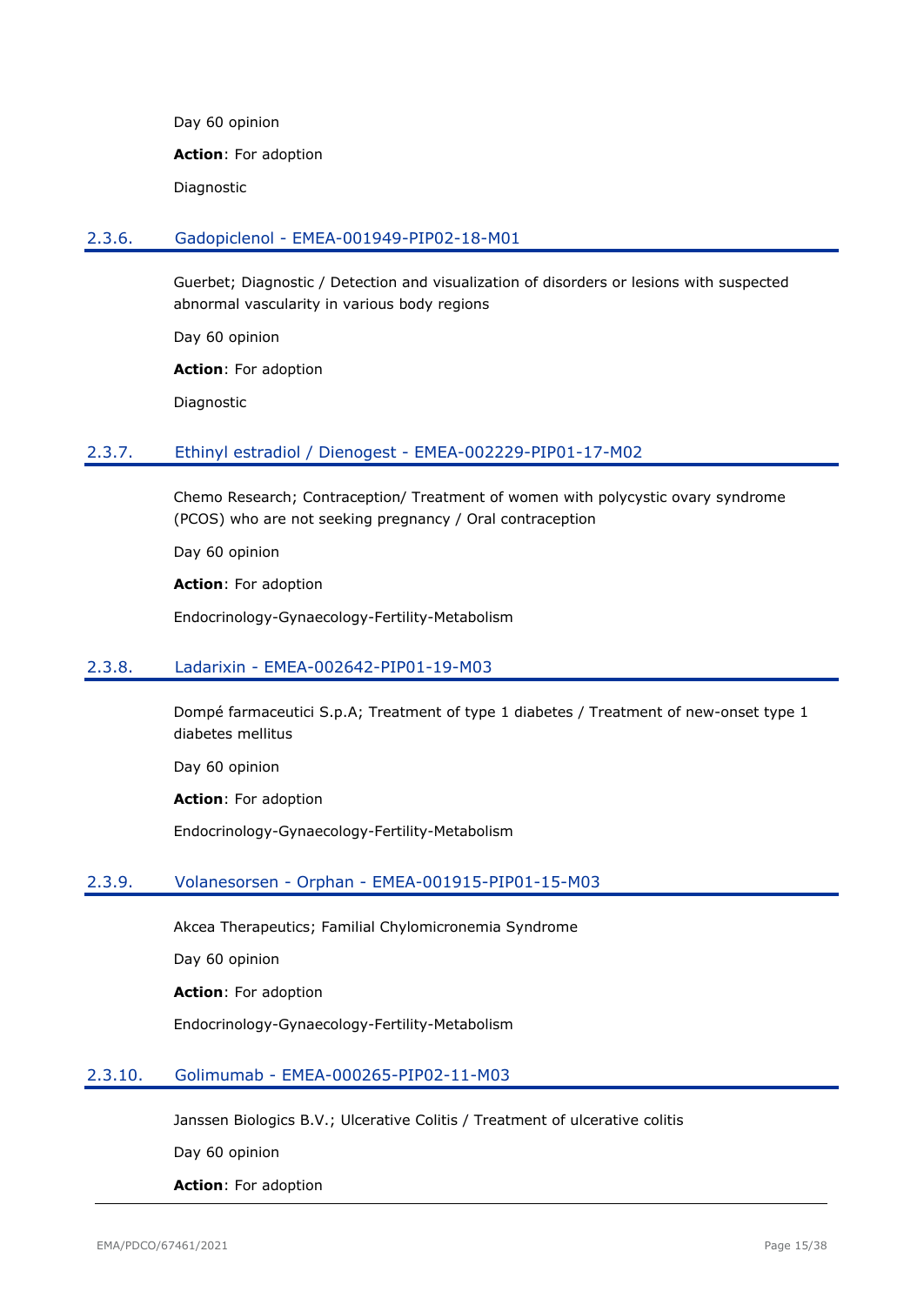Day 60 opinion

**Action**: For adoption

Diagnostic

#### <span id="page-14-0"></span>2.3.6. Gadopiclenol - EMEA-001949-PIP02-18-M01

Guerbet; Diagnostic / Detection and visualization of disorders or lesions with suspected abnormal vascularity in various body regions

Day 60 opinion

**Action**: For adoption

Diagnostic

#### <span id="page-14-1"></span>2.3.7. Ethinyl estradiol / Dienogest - EMEA-002229-PIP01-17-M02

Chemo Research; Contraception/ Treatment of women with polycystic ovary syndrome (PCOS) who are not seeking pregnancy / Oral contraception

Day 60 opinion

**Action**: For adoption

Endocrinology-Gynaecology-Fertility-Metabolism

### <span id="page-14-2"></span>2.3.8. Ladarixin - EMEA-002642-PIP01-19-M03

Dompé farmaceutici S.p.A; Treatment of type 1 diabetes / Treatment of new-onset type 1 diabetes mellitus

Day 60 opinion

**Action**: For adoption

Endocrinology-Gynaecology-Fertility-Metabolism

#### <span id="page-14-3"></span>2.3.9. Volanesorsen - Orphan - EMEA-001915-PIP01-15-M03

Akcea Therapeutics; Familial Chylomicronemia Syndrome

Day 60 opinion

**Action**: For adoption

Endocrinology-Gynaecology-Fertility-Metabolism

#### <span id="page-14-4"></span>2.3.10. Golimumab - EMEA-000265-PIP02-11-M03

Janssen Biologics B.V.; Ulcerative Colitis / Treatment of ulcerative colitis

Day 60 opinion

**Action**: For adoption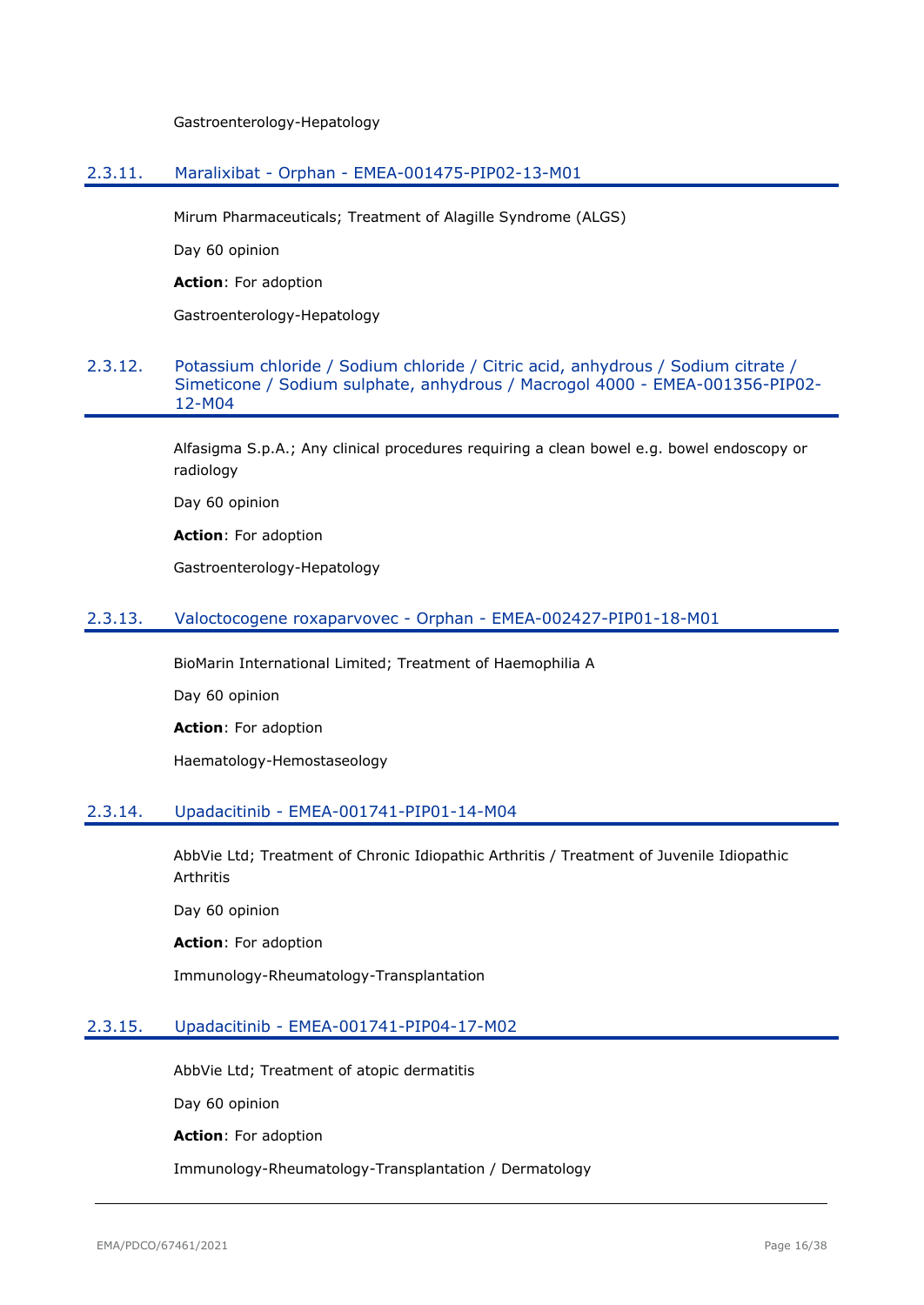Gastroenterology-Hepatology

#### <span id="page-15-0"></span>2.3.11. Maralixibat - Orphan - EMEA-001475-PIP02-13-M01

Mirum Pharmaceuticals; Treatment of Alagille Syndrome (ALGS)

Day 60 opinion

**Action**: For adoption

Gastroenterology-Hepatology

### <span id="page-15-1"></span>2.3.12. Potassium chloride / Sodium chloride / Citric acid, anhydrous / Sodium citrate / Simeticone / Sodium sulphate, anhydrous / Macrogol 4000 - EMEA-001356-PIP02- 12-M04

Alfasigma S.p.A.; Any clinical procedures requiring a clean bowel e.g. bowel endoscopy or radiology

Day 60 opinion

**Action**: For adoption

Gastroenterology-Hepatology

#### <span id="page-15-2"></span>2.3.13. Valoctocogene roxaparvovec - Orphan - EMEA-002427-PIP01-18-M01

BioMarin International Limited; Treatment of Haemophilia A

Day 60 opinion

**Action**: For adoption

Haematology-Hemostaseology

#### <span id="page-15-3"></span>2.3.14. Upadacitinib - EMEA-001741-PIP01-14-M04

AbbVie Ltd; Treatment of Chronic Idiopathic Arthritis / Treatment of Juvenile Idiopathic Arthritis

Day 60 opinion

**Action**: For adoption

Immunology-Rheumatology-Transplantation

#### <span id="page-15-4"></span>2.3.15. Upadacitinib - EMEA-001741-PIP04-17-M02

AbbVie Ltd; Treatment of atopic dermatitis

Day 60 opinion

**Action**: For adoption

Immunology-Rheumatology-Transplantation / Dermatology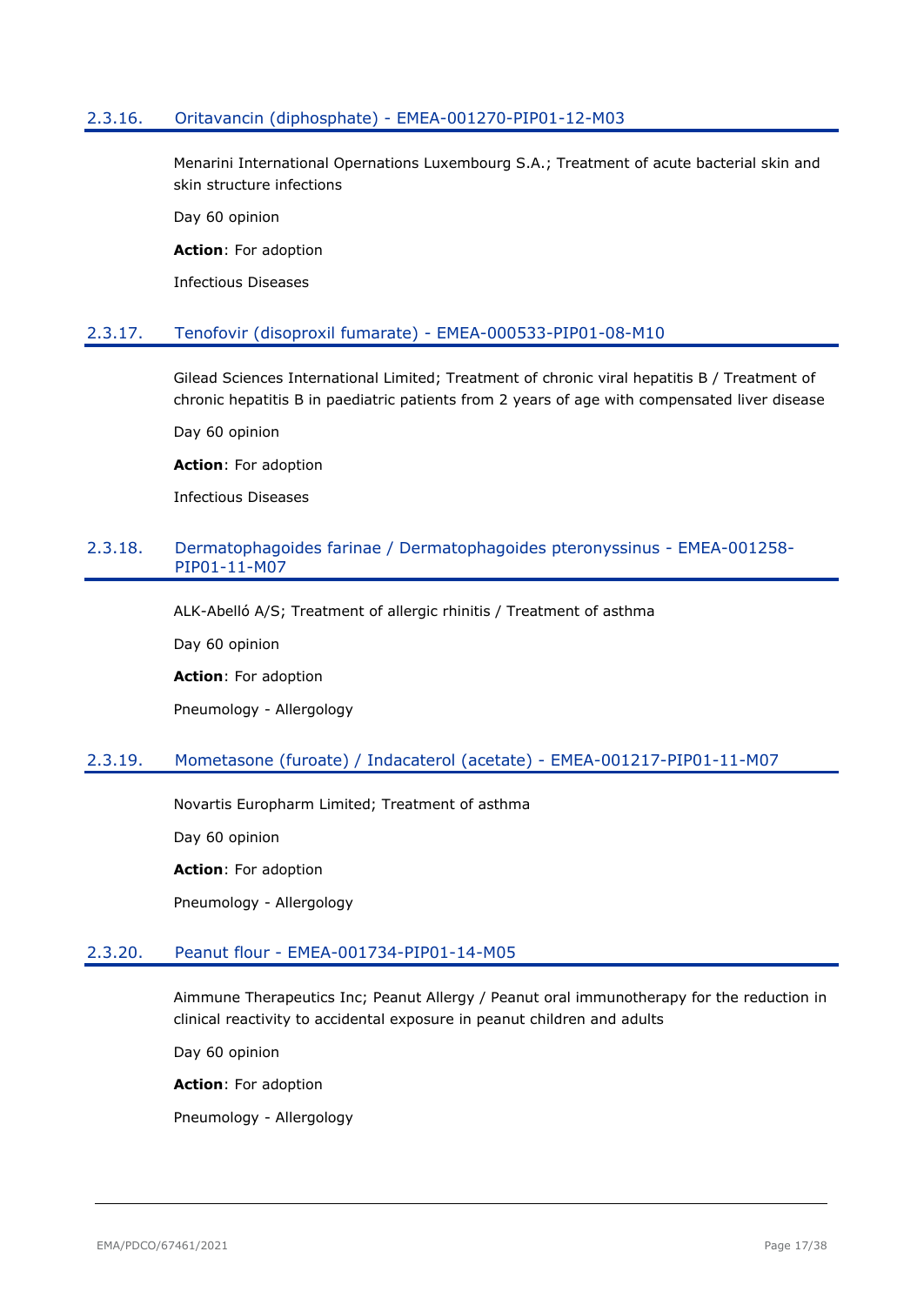### <span id="page-16-0"></span>2.3.16. Oritavancin (diphosphate) - EMEA-001270-PIP01-12-M03

Menarini International Opernations Luxembourg S.A.; Treatment of acute bacterial skin and skin structure infections

Day 60 opinion

**Action**: For adoption

Infectious Diseases

#### <span id="page-16-1"></span>2.3.17. Tenofovir (disoproxil fumarate) - EMEA-000533-PIP01-08-M10

Gilead Sciences International Limited; Treatment of chronic viral hepatitis B / Treatment of chronic hepatitis B in paediatric patients from 2 years of age with compensated liver disease

Day 60 opinion

**Action**: For adoption

Infectious Diseases

### <span id="page-16-2"></span>2.3.18. Dermatophagoides farinae / Dermatophagoides pteronyssinus - EMEA-001258- PIP01-11-M07

ALK-Abelló A/S; Treatment of allergic rhinitis / Treatment of asthma

Day 60 opinion

**Action**: For adoption

Pneumology - Allergology

### <span id="page-16-3"></span>2.3.19. Mometasone (furoate) / Indacaterol (acetate) - EMEA-001217-PIP01-11-M07

Novartis Europharm Limited; Treatment of asthma

Day 60 opinion

**Action**: For adoption

Pneumology - Allergology

### <span id="page-16-4"></span>2.3.20. Peanut flour - EMEA-001734-PIP01-14-M05

Aimmune Therapeutics Inc; Peanut Allergy / Peanut oral immunotherapy for the reduction in clinical reactivity to accidental exposure in peanut children and adults

Day 60 opinion

**Action**: For adoption

Pneumology - Allergology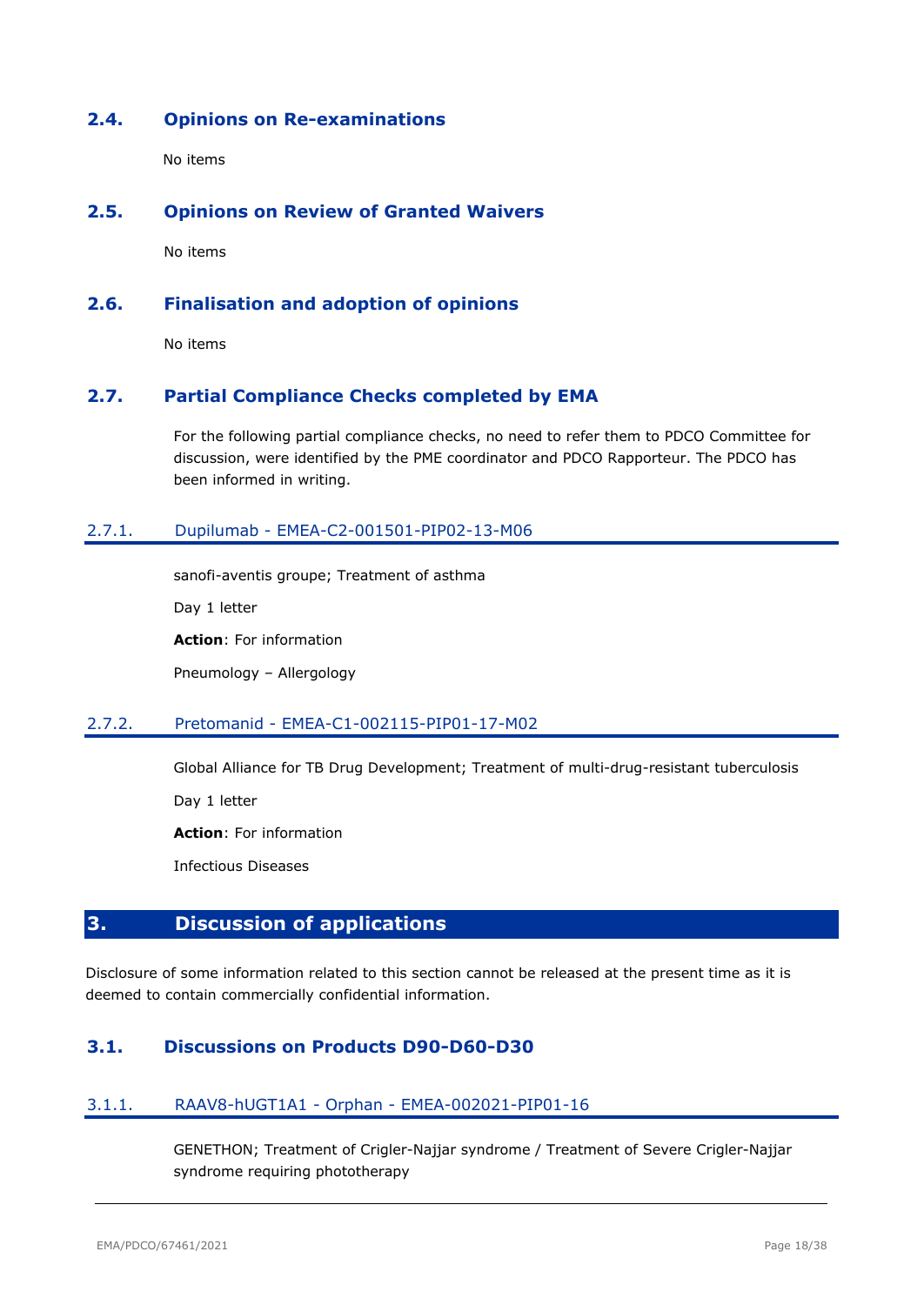# <span id="page-17-0"></span>**2.4. Opinions on Re-examinations**

No items

### <span id="page-17-1"></span>**2.5. Opinions on Review of Granted Waivers**

No items

# <span id="page-17-2"></span>**2.6. Finalisation and adoption of opinions**

No items

# <span id="page-17-3"></span>**2.7. Partial Compliance Checks completed by EMA**

For the following partial compliance checks, no need to refer them to PDCO Committee for discussion, were identified by the PME coordinator and PDCO Rapporteur. The PDCO has been informed in writing.

# <span id="page-17-4"></span>2.7.1. Dupilumab - EMEA-C2-001501-PIP02-13-M06

sanofi-aventis groupe; Treatment of asthma

Day 1 letter

**Action**: For information

Pneumology – Allergology

### <span id="page-17-5"></span>2.7.2. Pretomanid - EMEA-C1-002115-PIP01-17-M02

Global Alliance for TB Drug Development; Treatment of multi-drug-resistant tuberculosis

Day 1 letter

**Action**: For information

Infectious Diseases

# <span id="page-17-6"></span>**3. Discussion of applications**

Disclosure of some information related to this section cannot be released at the present time as it is deemed to contain commercially confidential information.

# <span id="page-17-7"></span>**3.1. Discussions on Products D90-D60-D30**

### <span id="page-17-8"></span>3.1.1. RAAV8-hUGT1A1 - Orphan - EMEA-002021-PIP01-16

GENETHON; Treatment of Crigler-Najjar syndrome / Treatment of Severe Crigler-Najjar syndrome requiring phototherapy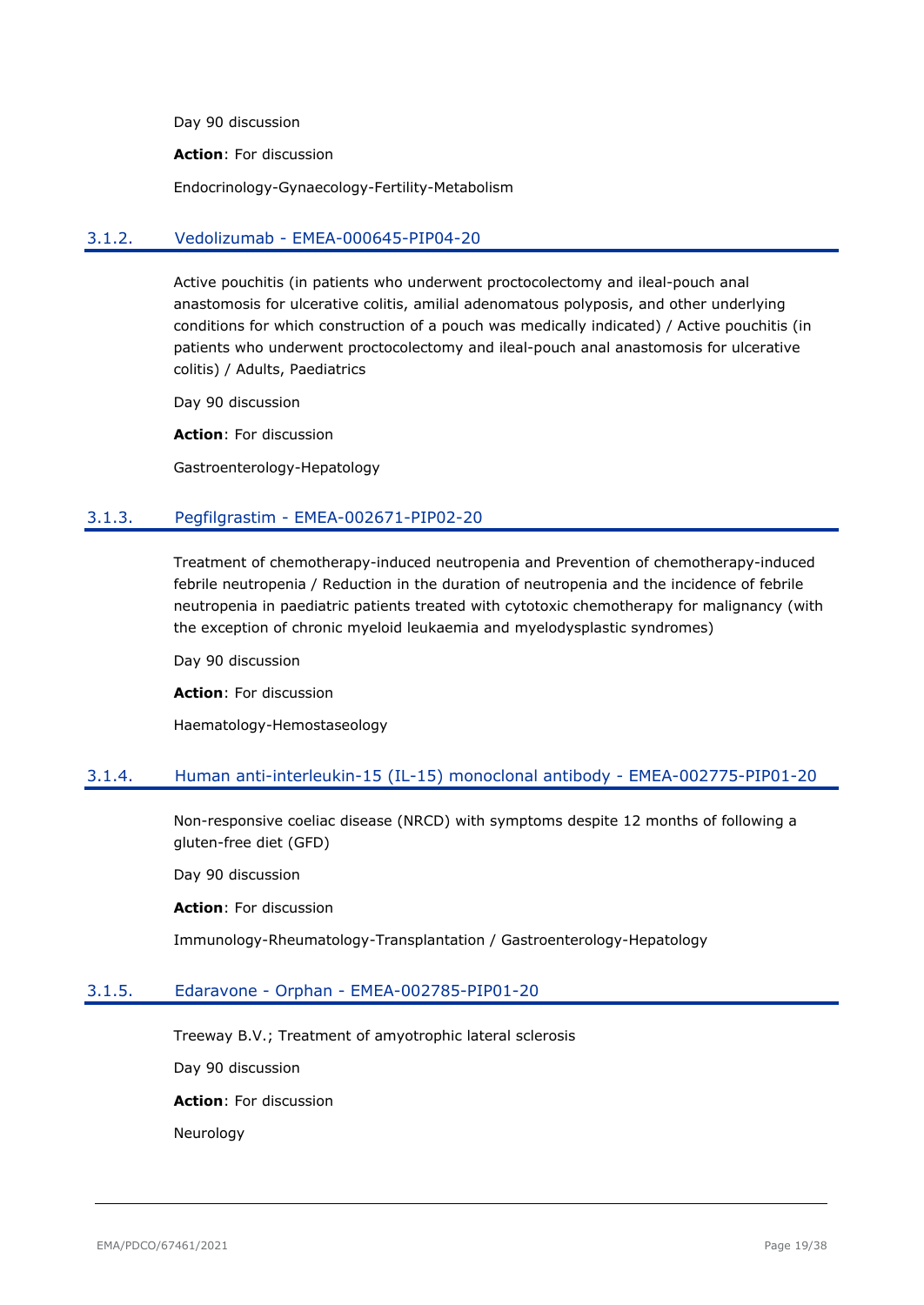Day 90 discussion

**Action**: For discussion

Endocrinology-Gynaecology-Fertility-Metabolism

#### <span id="page-18-0"></span>3.1.2. Vedolizumab - EMEA-000645-PIP04-20

Active pouchitis (in patients who underwent proctocolectomy and ileal-pouch anal anastomosis for ulcerative colitis, amilial adenomatous polyposis, and other underlying conditions for which construction of a pouch was medically indicated) / Active pouchitis (in patients who underwent proctocolectomy and ileal-pouch anal anastomosis for ulcerative colitis) / Adults, Paediatrics

Day 90 discussion

**Action**: For discussion

Gastroenterology-Hepatology

#### <span id="page-18-1"></span>3.1.3. Pegfilgrastim - EMEA-002671-PIP02-20

Treatment of chemotherapy-induced neutropenia and Prevention of chemotherapy-induced febrile neutropenia / Reduction in the duration of neutropenia and the incidence of febrile neutropenia in paediatric patients treated with cytotoxic chemotherapy for malignancy (with the exception of chronic myeloid leukaemia and myelodysplastic syndromes)

Day 90 discussion

**Action**: For discussion

Haematology-Hemostaseology

#### <span id="page-18-2"></span>3.1.4. Human anti-interleukin-15 (IL-15) monoclonal antibody - EMEA-002775-PIP01-20

Non-responsive coeliac disease (NRCD) with symptoms despite 12 months of following a gluten-free diet (GFD)

Day 90 discussion

**Action**: For discussion

Immunology-Rheumatology-Transplantation / Gastroenterology-Hepatology

#### <span id="page-18-3"></span>3.1.5. Edaravone - Orphan - EMEA-002785-PIP01-20

Treeway B.V.; Treatment of amyotrophic lateral sclerosis

Day 90 discussion

**Action**: For discussion

Neurology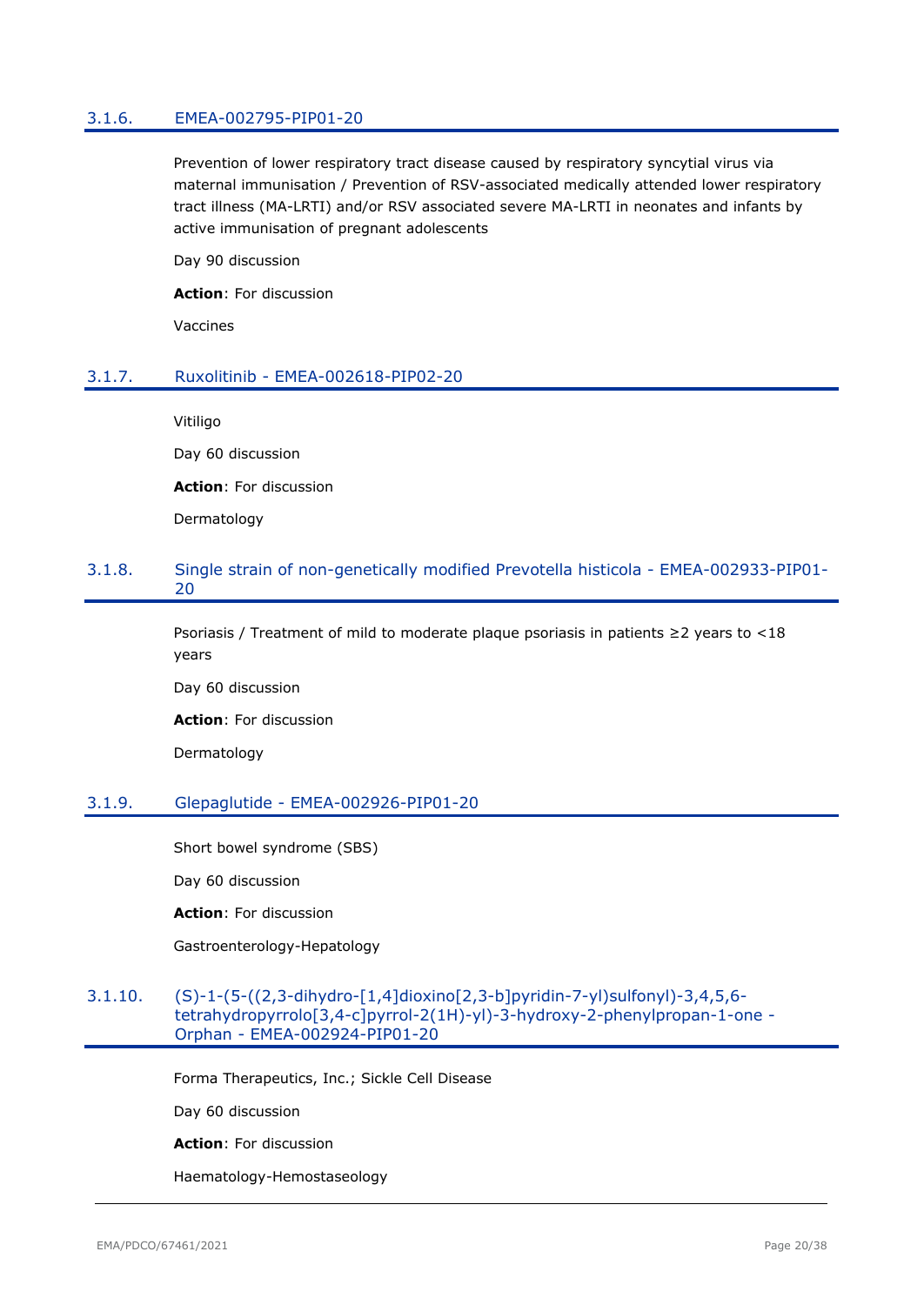#### <span id="page-19-0"></span>3.1.6. EMEA-002795-PIP01-20

Prevention of lower respiratory tract disease caused by respiratory syncytial virus via maternal immunisation / Prevention of RSV-associated medically attended lower respiratory tract illness (MA-LRTI) and/or RSV associated severe MA-LRTI in neonates and infants by active immunisation of pregnant adolescents

Day 90 discussion

**Action**: For discussion

Vaccines

#### <span id="page-19-1"></span>3.1.7. Ruxolitinib - EMEA-002618-PIP02-20

Vitiligo

Day 60 discussion

**Action**: For discussion

Dermatology

#### <span id="page-19-2"></span>3.1.8. Single strain of non-genetically modified Prevotella histicola - EMEA-002933-PIP01- 20

Psoriasis / Treatment of mild to moderate plaque psoriasis in patients ≥2 years to <18 years

Day 60 discussion

**Action**: For discussion

Dermatology

#### <span id="page-19-3"></span>3.1.9. Glepaglutide - EMEA-002926-PIP01-20

Short bowel syndrome (SBS)

Day 60 discussion

**Action**: For discussion

Gastroenterology-Hepatology

### <span id="page-19-4"></span>3.1.10. (S)-1-(5-((2,3-dihydro-[1,4]dioxino[2,3-b]pyridin-7-yl)sulfonyl)-3,4,5,6 tetrahydropyrrolo[3,4-c]pyrrol-2(1H)-yl)-3-hydroxy-2-phenylpropan-1-one - Orphan - EMEA-002924-PIP01-20

Forma Therapeutics, Inc.; Sickle Cell Disease

Day 60 discussion

**Action**: For discussion

Haematology-Hemostaseology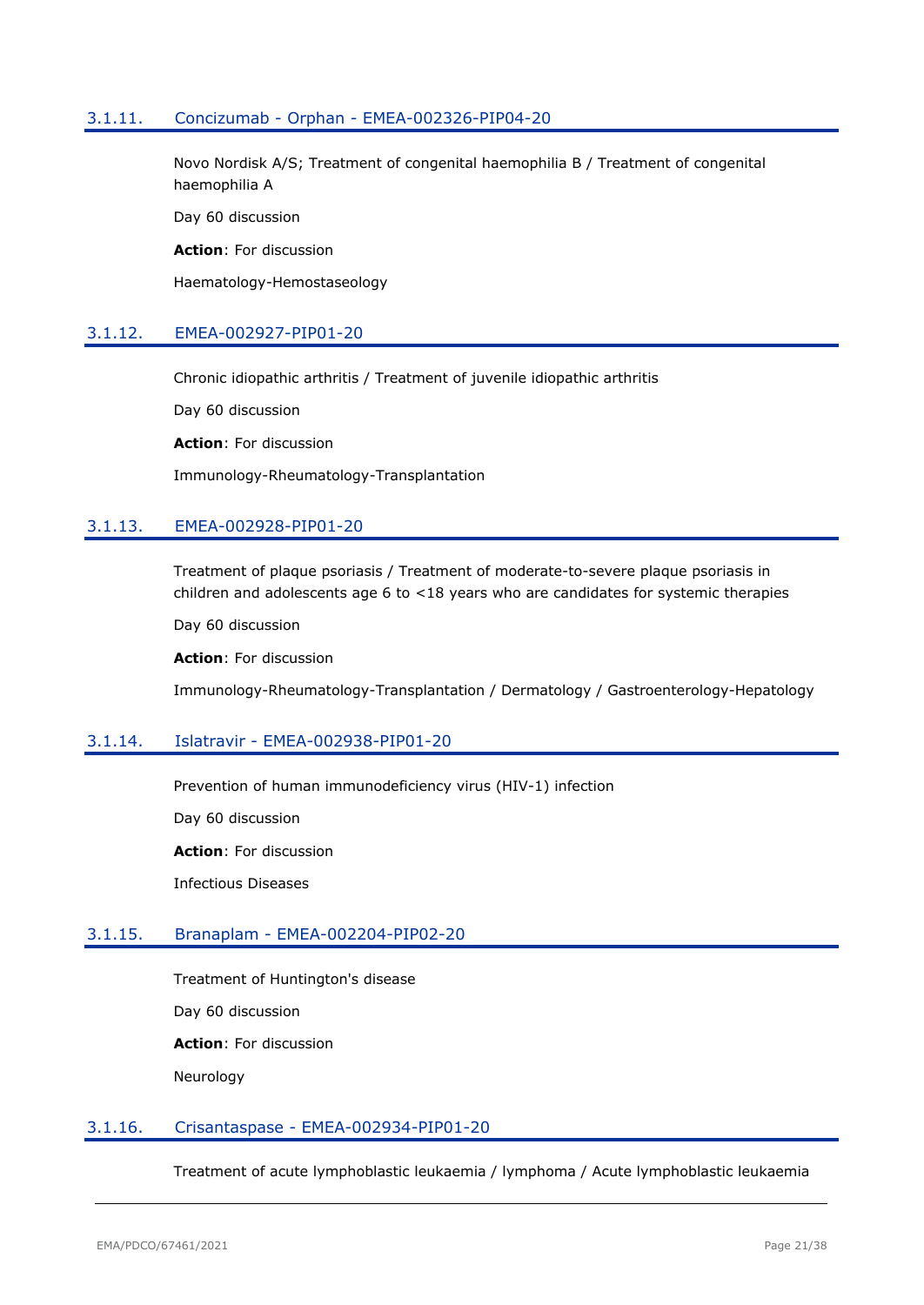### <span id="page-20-0"></span>3.1.11. Concizumab - Orphan - EMEA-002326-PIP04-20

Novo Nordisk A/S; Treatment of congenital haemophilia B / Treatment of congenital haemophilia A

Day 60 discussion

**Action**: For discussion

Haematology-Hemostaseology

### <span id="page-20-1"></span>3.1.12. EMEA-002927-PIP01-20

Chronic idiopathic arthritis / Treatment of juvenile idiopathic arthritis

Day 60 discussion

**Action**: For discussion

Immunology-Rheumatology-Transplantation

# <span id="page-20-2"></span>3.1.13. EMEA-002928-PIP01-20

Treatment of plaque psoriasis / Treatment of moderate-to-severe plaque psoriasis in children and adolescents age 6 to <18 years who are candidates for systemic therapies

Day 60 discussion

**Action**: For discussion

Immunology-Rheumatology-Transplantation / Dermatology / Gastroenterology-Hepatology

#### <span id="page-20-3"></span>3.1.14. Islatravir - EMEA-002938-PIP01-20

Prevention of human immunodeficiency virus (HIV-1) infection

Day 60 discussion

**Action**: For discussion

Infectious Diseases

### <span id="page-20-4"></span>3.1.15. Branaplam - EMEA-002204-PIP02-20

Treatment of Huntington's disease

Day 60 discussion

**Action**: For discussion

Neurology

#### <span id="page-20-5"></span>3.1.16. Crisantaspase - EMEA-002934-PIP01-20

Treatment of acute lymphoblastic leukaemia / lymphoma / Acute lymphoblastic leukaemia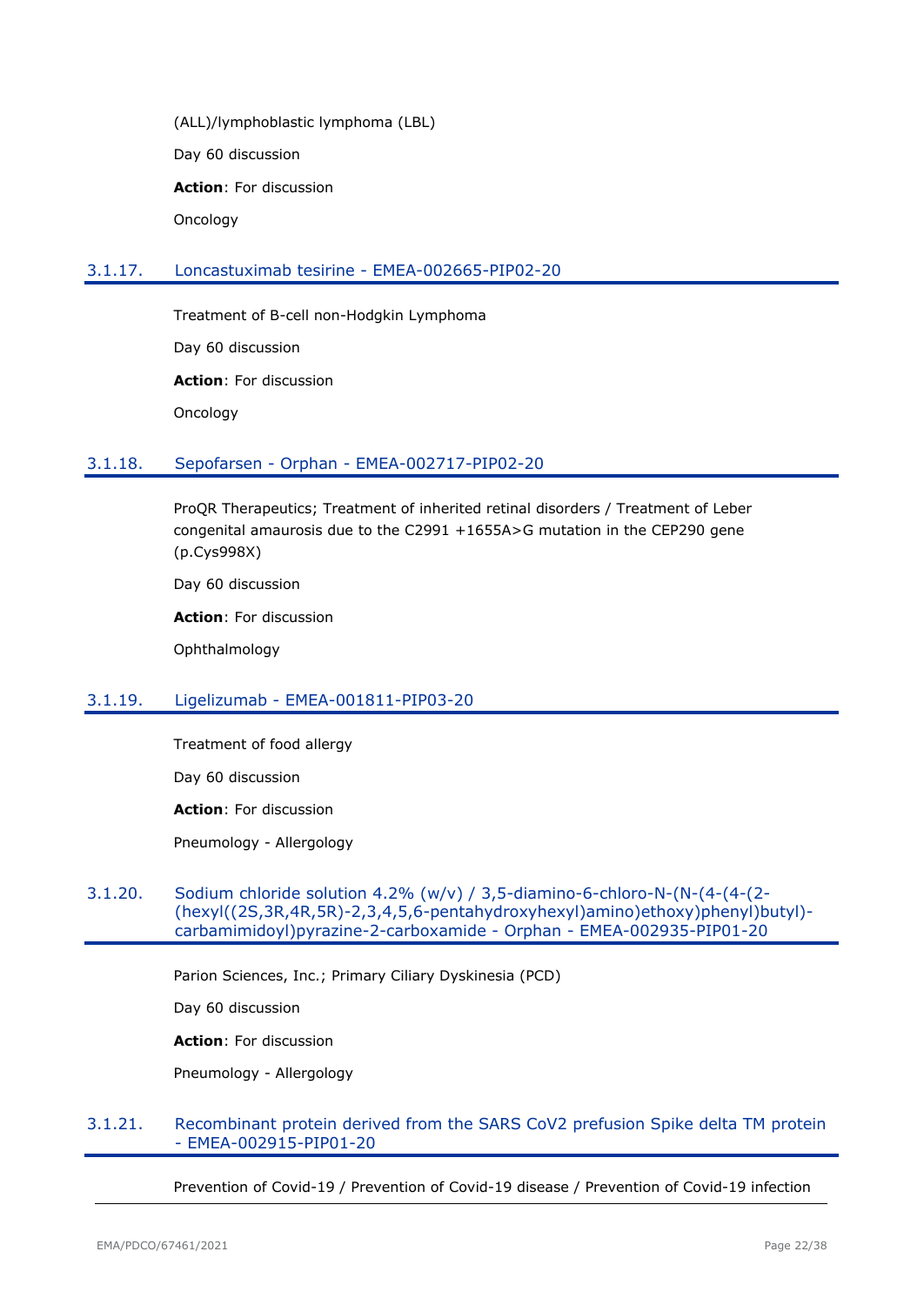(ALL)/lymphoblastic lymphoma (LBL) Day 60 discussion **Action**: For discussion Oncology

# <span id="page-21-0"></span>3.1.17. Loncastuximab tesirine - EMEA-002665-PIP02-20

Treatment of B-cell non-Hodgkin Lymphoma Day 60 discussion **Action**: For discussion Oncology

<span id="page-21-1"></span>3.1.18. Sepofarsen - Orphan - EMEA-002717-PIP02-20

ProQR Therapeutics; Treatment of inherited retinal disorders / Treatment of Leber congenital amaurosis due to the C2991 +1655A>G mutation in the CEP290 gene (p.Cys998X)

Day 60 discussion

**Action**: For discussion

Ophthalmology

### <span id="page-21-2"></span>3.1.19. Ligelizumab - EMEA-001811-PIP03-20

Treatment of food allergy

Day 60 discussion

**Action**: For discussion

Pneumology - Allergology

#### <span id="page-21-3"></span>3.1.20. Sodium chloride solution 4.2% (w/v) / 3,5-diamino-6-chloro-N-(N-(4-(4-(2- (hexyl((2S,3R,4R,5R)-2,3,4,5,6-pentahydroxyhexyl)amino)ethoxy)phenyl)butyl) carbamimidoyl)pyrazine-2-carboxamide - Orphan - EMEA-002935-PIP01-20

Parion Sciences, Inc.; Primary Ciliary Dyskinesia (PCD)

Day 60 discussion

**Action**: For discussion

Pneumology - Allergology

#### <span id="page-21-4"></span>3.1.21. Recombinant protein derived from the SARS CoV2 prefusion Spike delta TM protein - EMEA-002915-PIP01-20

Prevention of Covid-19 / Prevention of Covid-19 disease / Prevention of Covid-19 infection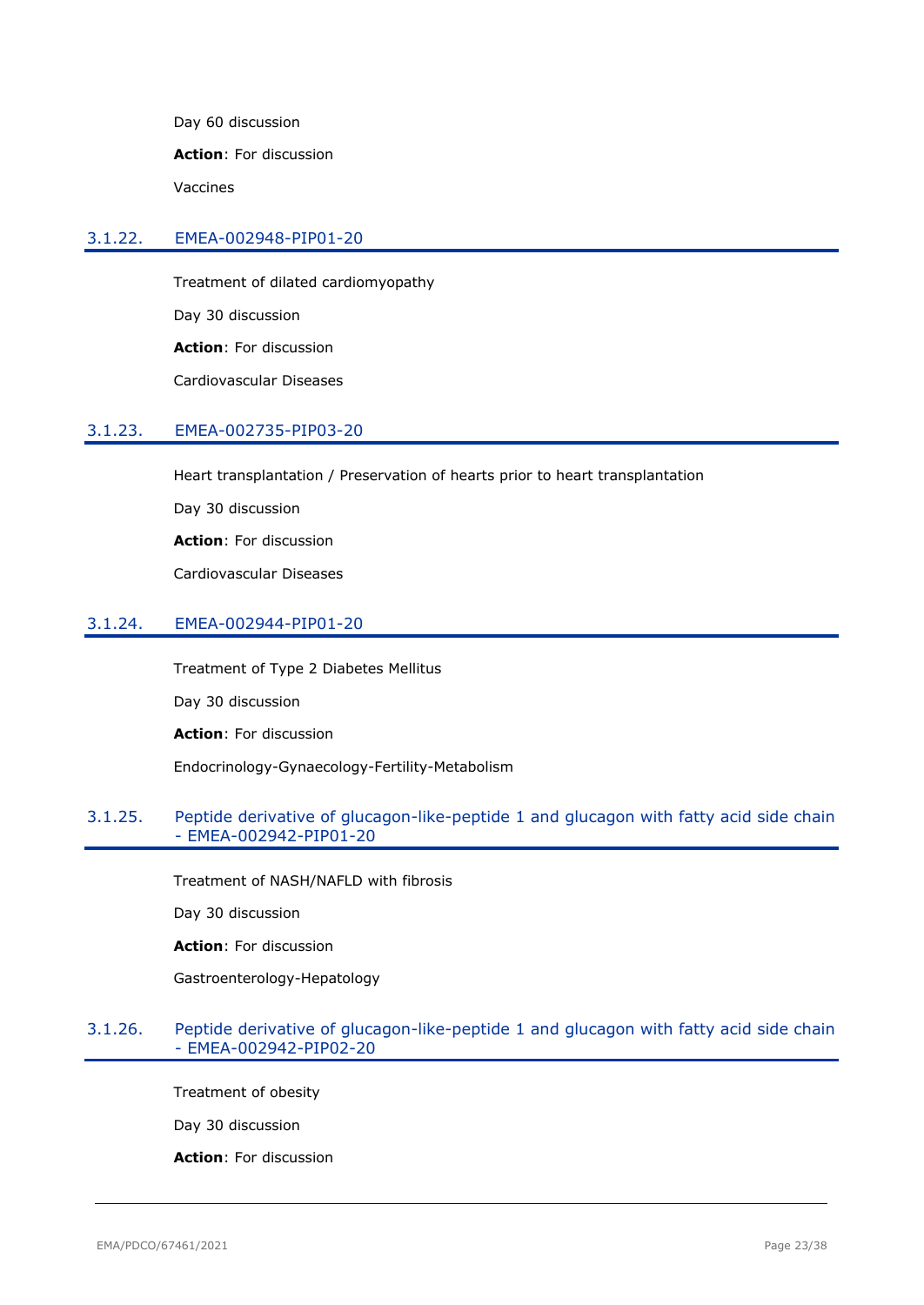Day 60 discussion

**Action**: For discussion

Vaccines

#### <span id="page-22-0"></span>3.1.22. EMEA-002948-PIP01-20

Treatment of dilated cardiomyopathy Day 30 discussion **Action**: For discussion Cardiovascular Diseases

### <span id="page-22-1"></span>3.1.23. EMEA-002735-PIP03-20

Heart transplantation / Preservation of hearts prior to heart transplantation

Day 30 discussion

**Action**: For discussion

Cardiovascular Diseases

### <span id="page-22-2"></span>3.1.24. EMEA-002944-PIP01-20

Treatment of Type 2 Diabetes Mellitus

Day 30 discussion

**Action**: For discussion

Endocrinology-Gynaecology-Fertility-Metabolism

# <span id="page-22-3"></span>3.1.25. Peptide derivative of glucagon-like-peptide 1 and glucagon with fatty acid side chain - EMEA-002942-PIP01-20

Treatment of NASH/NAFLD with fibrosis

Day 30 discussion

**Action**: For discussion

Gastroenterology-Hepatology

#### <span id="page-22-4"></span>3.1.26. Peptide derivative of glucagon-like-peptide 1 and glucagon with fatty acid side chain - EMEA-002942-PIP02-20

Treatment of obesity

Day 30 discussion

**Action**: For discussion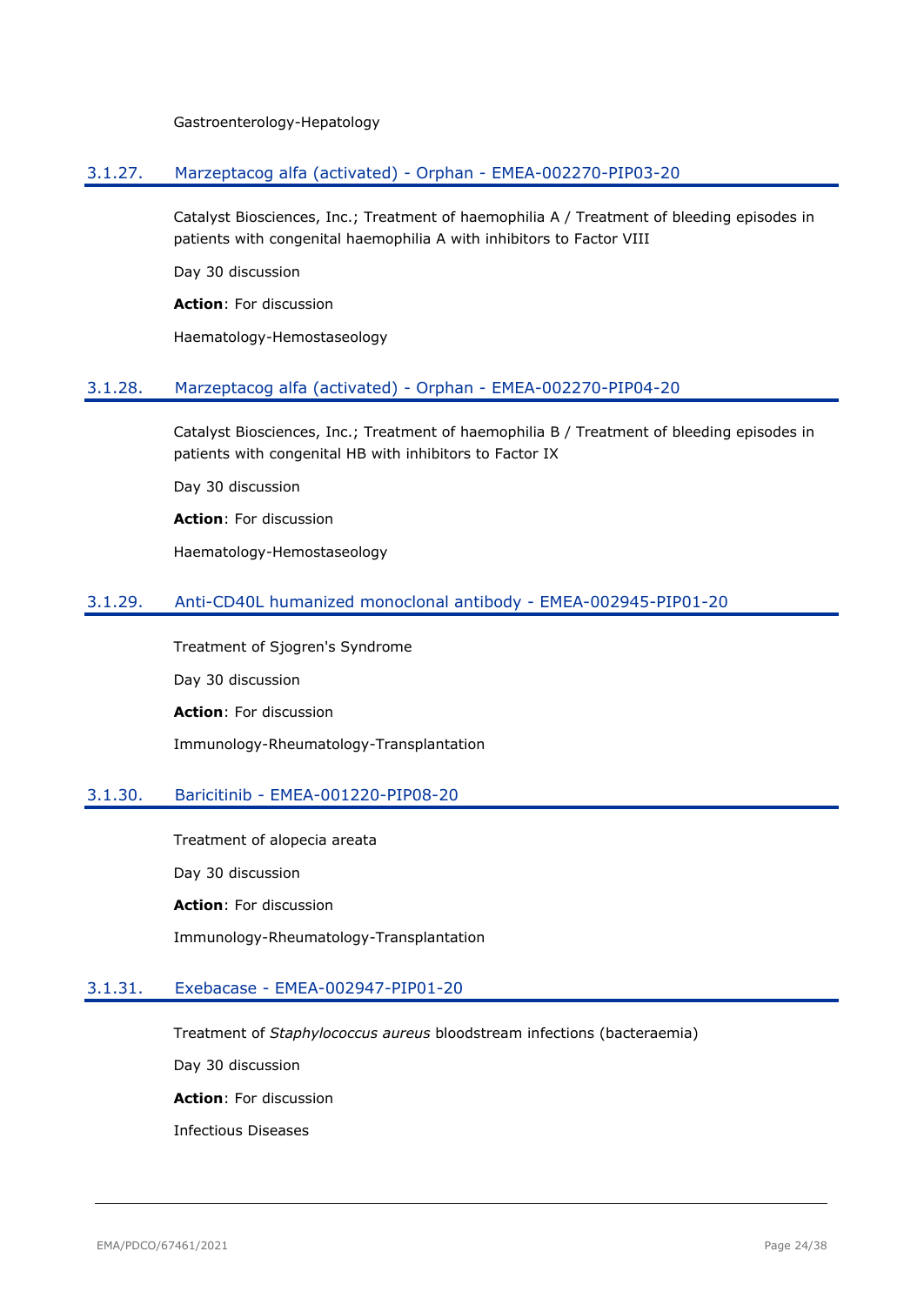Gastroenterology-Hepatology

### <span id="page-23-0"></span>3.1.27. Marzeptacog alfa (activated) - Orphan - EMEA-002270-PIP03-20

Catalyst Biosciences, Inc.; Treatment of haemophilia A / Treatment of bleeding episodes in patients with congenital haemophilia A with inhibitors to Factor VIII

Day 30 discussion

**Action**: For discussion

Haematology-Hemostaseology

### <span id="page-23-1"></span>3.1.28. Marzeptacog alfa (activated) - Orphan - EMEA-002270-PIP04-20

Catalyst Biosciences, Inc.; Treatment of haemophilia B / Treatment of bleeding episodes in patients with congenital HB with inhibitors to Factor IX

Day 30 discussion

**Action**: For discussion

Haematology-Hemostaseology

# <span id="page-23-2"></span>3.1.29. Anti-CD40L humanized monoclonal antibody - EMEA-002945-PIP01-20

Treatment of Sjogren's Syndrome Day 30 discussion **Action**: For discussion Immunology-Rheumatology-Transplantation

### <span id="page-23-3"></span>3.1.30. Baricitinib - EMEA-001220-PIP08-20

Treatment of alopecia areata Day 30 discussion **Action**: For discussion Immunology-Rheumatology-Transplantation

### <span id="page-23-4"></span>3.1.31. Exebacase - EMEA-002947-PIP01-20

Treatment of *Staphylococcus aureus* bloodstream infections (bacteraemia)

Day 30 discussion

**Action**: For discussion

Infectious Diseases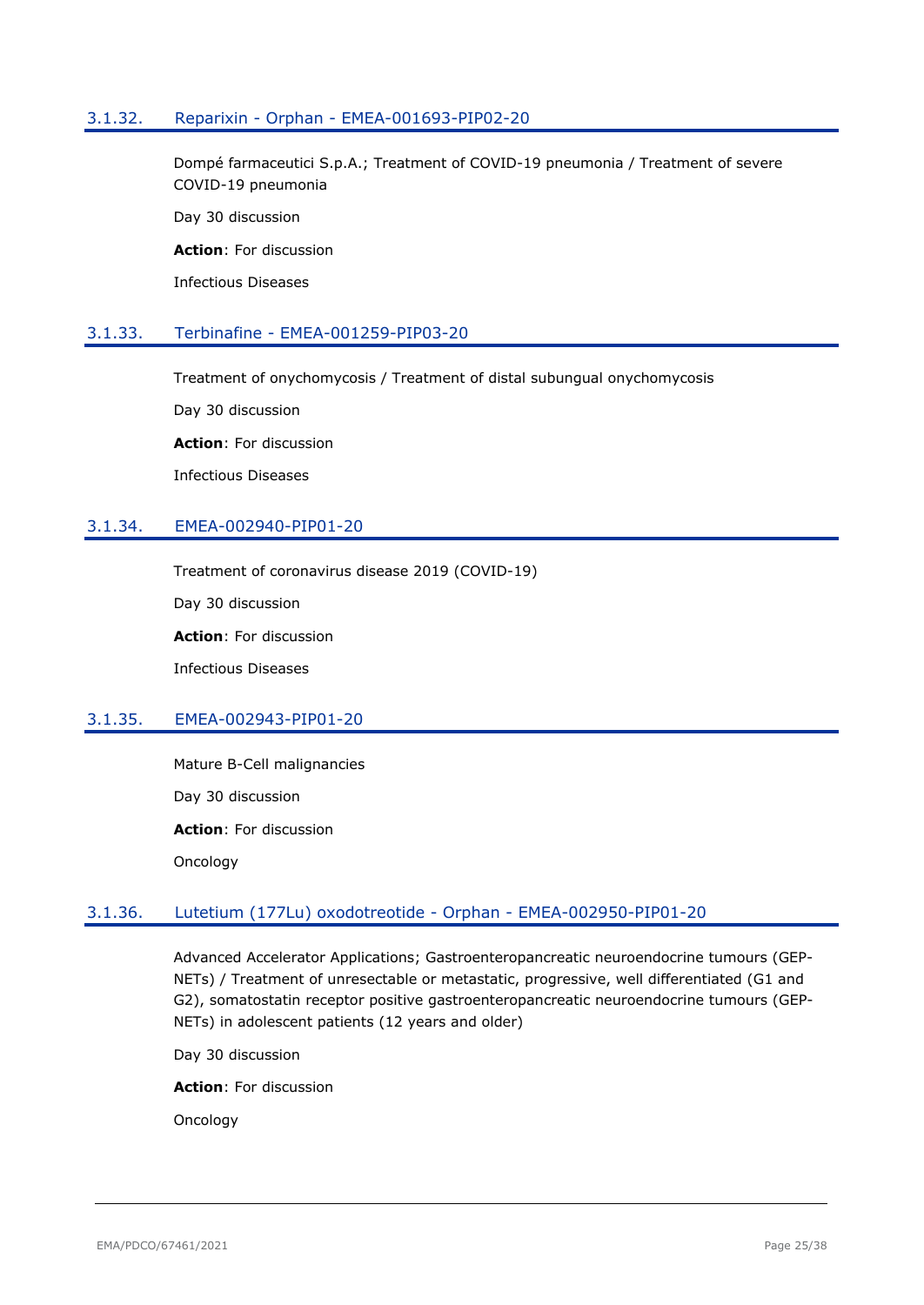#### <span id="page-24-0"></span>3.1.32. Reparixin - Orphan - EMEA-001693-PIP02-20

Dompé farmaceutici S.p.A.; Treatment of COVID-19 pneumonia / Treatment of severe COVID-19 pneumonia

Day 30 discussion

**Action**: For discussion

Infectious Diseases

#### <span id="page-24-1"></span>3.1.33. Terbinafine - EMEA-001259-PIP03-20

Treatment of onychomycosis / Treatment of distal subungual onychomycosis

Day 30 discussion

**Action**: For discussion

Infectious Diseases

# <span id="page-24-2"></span>3.1.34. EMEA-002940-PIP01-20

Treatment of coronavirus disease 2019 (COVID-19)

Day 30 discussion

**Action**: For discussion

Infectious Diseases

### <span id="page-24-3"></span>3.1.35. EMEA-002943-PIP01-20

Mature B-Cell malignancies Day 30 discussion **Action**: For discussion Oncology

### <span id="page-24-4"></span>3.1.36. Lutetium (177Lu) oxodotreotide - Orphan - EMEA-002950-PIP01-20

Advanced Accelerator Applications; Gastroenteropancreatic neuroendocrine tumours (GEP-NETs) / Treatment of unresectable or metastatic, progressive, well differentiated (G1 and G2), somatostatin receptor positive gastroenteropancreatic neuroendocrine tumours (GEP-NETs) in adolescent patients (12 years and older)

Day 30 discussion

**Action**: For discussion

Oncology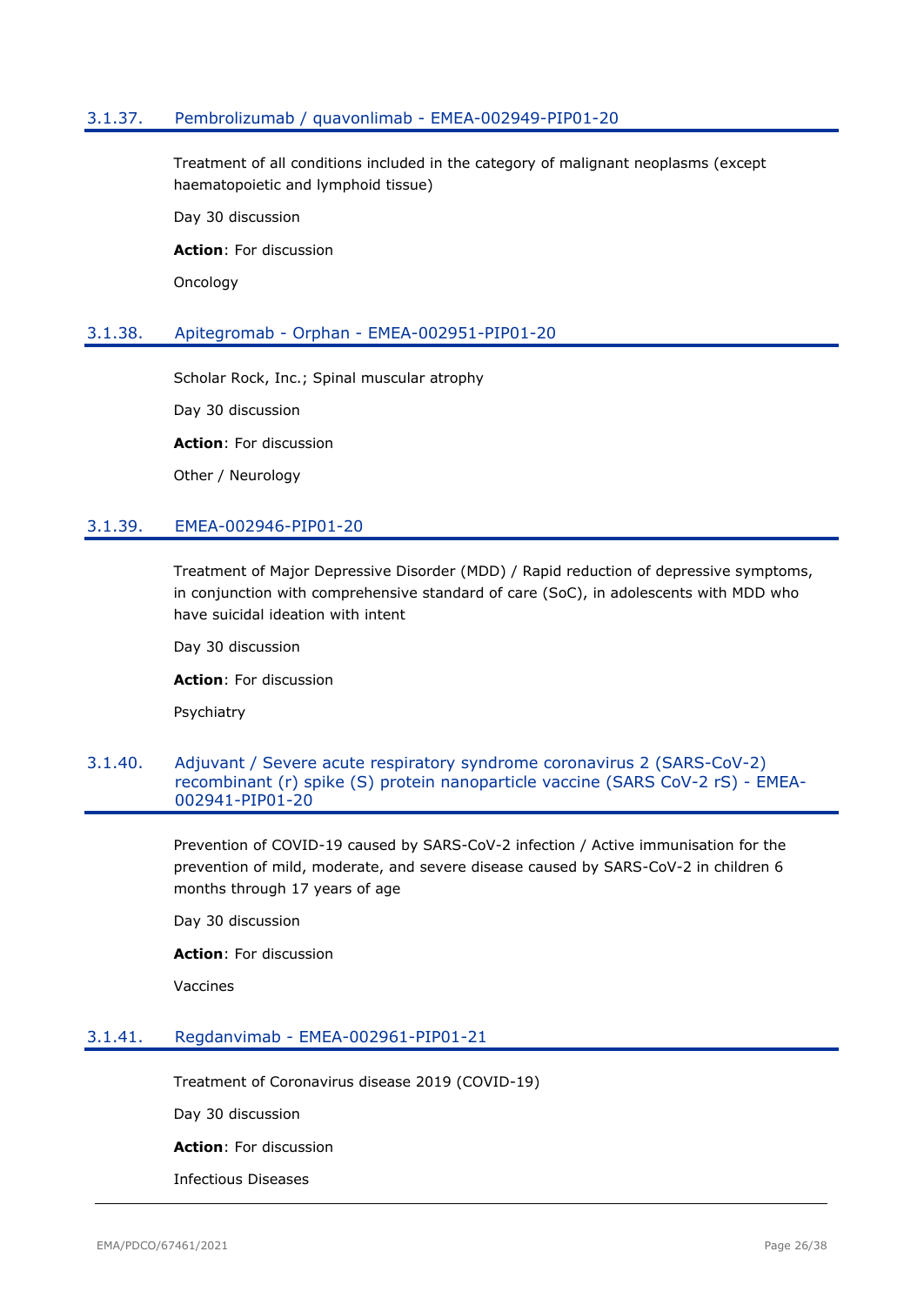### <span id="page-25-0"></span>3.1.37. Pembrolizumab / quavonlimab - EMEA-002949-PIP01-20

Treatment of all conditions included in the category of malignant neoplasms (except haematopoietic and lymphoid tissue)

Day 30 discussion

**Action**: For discussion

**Oncology** 

#### <span id="page-25-1"></span>3.1.38. Apitegromab - Orphan - EMEA-002951-PIP01-20

Scholar Rock, Inc.; Spinal muscular atrophy

Day 30 discussion

**Action**: For discussion

Other / Neurology

### <span id="page-25-2"></span>3.1.39. EMEA-002946-PIP01-20

Treatment of Major Depressive Disorder (MDD) / Rapid reduction of depressive symptoms, in conjunction with comprehensive standard of care (SoC), in adolescents with MDD who have suicidal ideation with intent

Day 30 discussion

**Action**: For discussion

Psychiatry

#### <span id="page-25-3"></span>3.1.40. Adjuvant / Severe acute respiratory syndrome coronavirus 2 (SARS-CoV-2) recombinant (r) spike (S) protein nanoparticle vaccine (SARS CoV-2 rS) - EMEA-002941-PIP01-20

Prevention of COVID-19 caused by SARS-CoV-2 infection / Active immunisation for the prevention of mild, moderate, and severe disease caused by SARS-CoV-2 in children 6 months through 17 years of age

Day 30 discussion

**Action**: For discussion

Vaccines

#### <span id="page-25-4"></span>3.1.41. Regdanvimab - EMEA-002961-PIP01-21

Treatment of Coronavirus disease 2019 (COVID-19)

Day 30 discussion

**Action**: For discussion

Infectious Diseases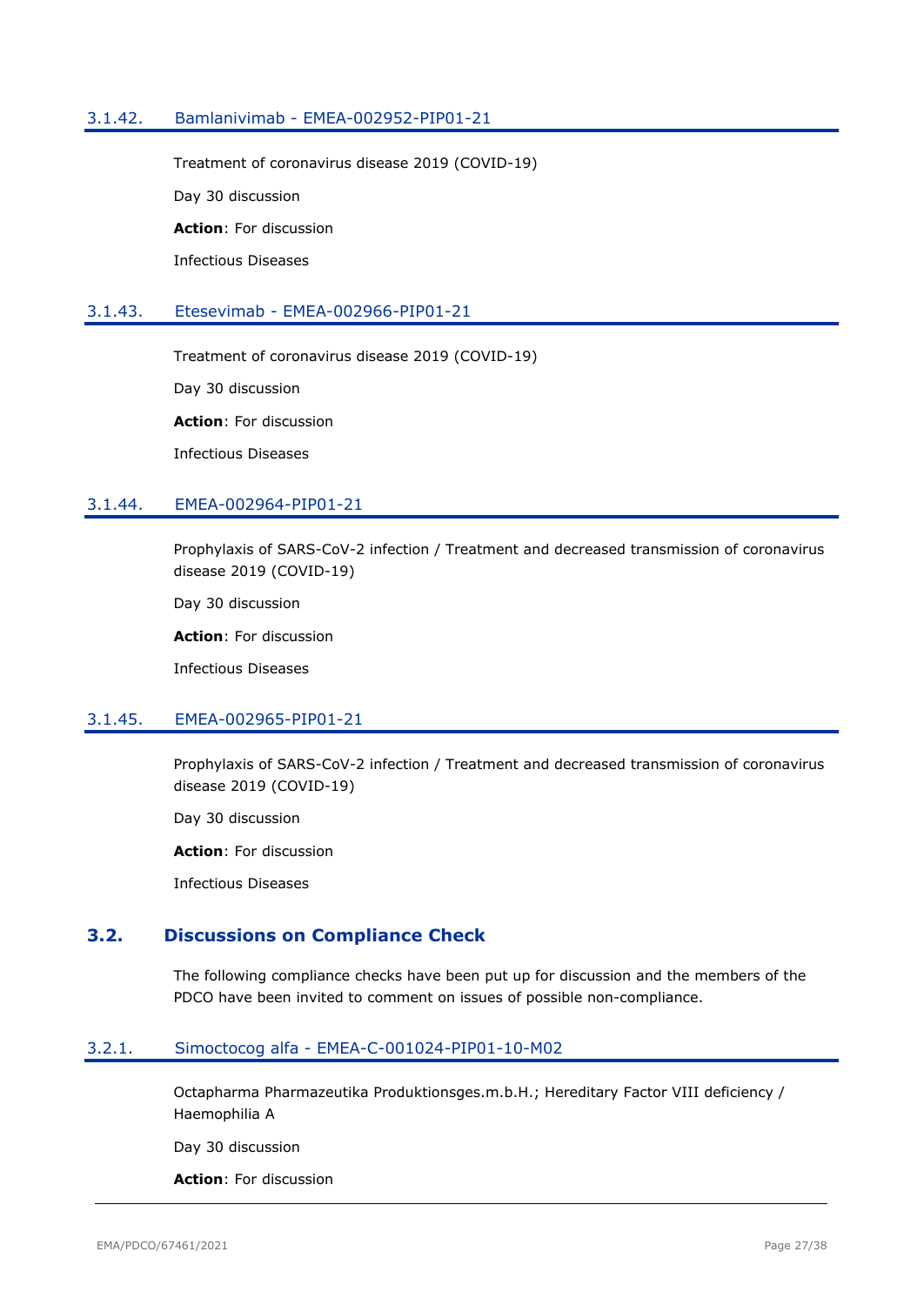### <span id="page-26-0"></span>3.1.42. Bamlanivimab - EMEA-002952-PIP01-21

Treatment of coronavirus disease 2019 (COVID-19) Day 30 discussion **Action**: For discussion Infectious Diseases

### <span id="page-26-1"></span>3.1.43. Etesevimab - EMEA-002966-PIP01-21

Treatment of coronavirus disease 2019 (COVID-19)

Day 30 discussion

**Action**: For discussion

Infectious Diseases

### <span id="page-26-2"></span>3.1.44. EMEA-002964-PIP01-21

Prophylaxis of SARS-CoV-2 infection / Treatment and decreased transmission of coronavirus disease 2019 (COVID-19)

Day 30 discussion

**Action**: For discussion

Infectious Diseases

### <span id="page-26-3"></span>3.1.45. EMEA-002965-PIP01-21

Prophylaxis of SARS-CoV-2 infection / Treatment and decreased transmission of coronavirus disease 2019 (COVID-19)

Day 30 discussion

**Action**: For discussion

Infectious Diseases

# <span id="page-26-4"></span>**3.2. Discussions on Compliance Check**

The following compliance checks have been put up for discussion and the members of the PDCO have been invited to comment on issues of possible non-compliance.

#### <span id="page-26-5"></span>3.2.1. Simoctocog alfa - EMEA-C-001024-PIP01-10-M02

Octapharma Pharmazeutika Produktionsges.m.b.H.; Hereditary Factor VIII deficiency / Haemophilia A

Day 30 discussion

**Action**: For discussion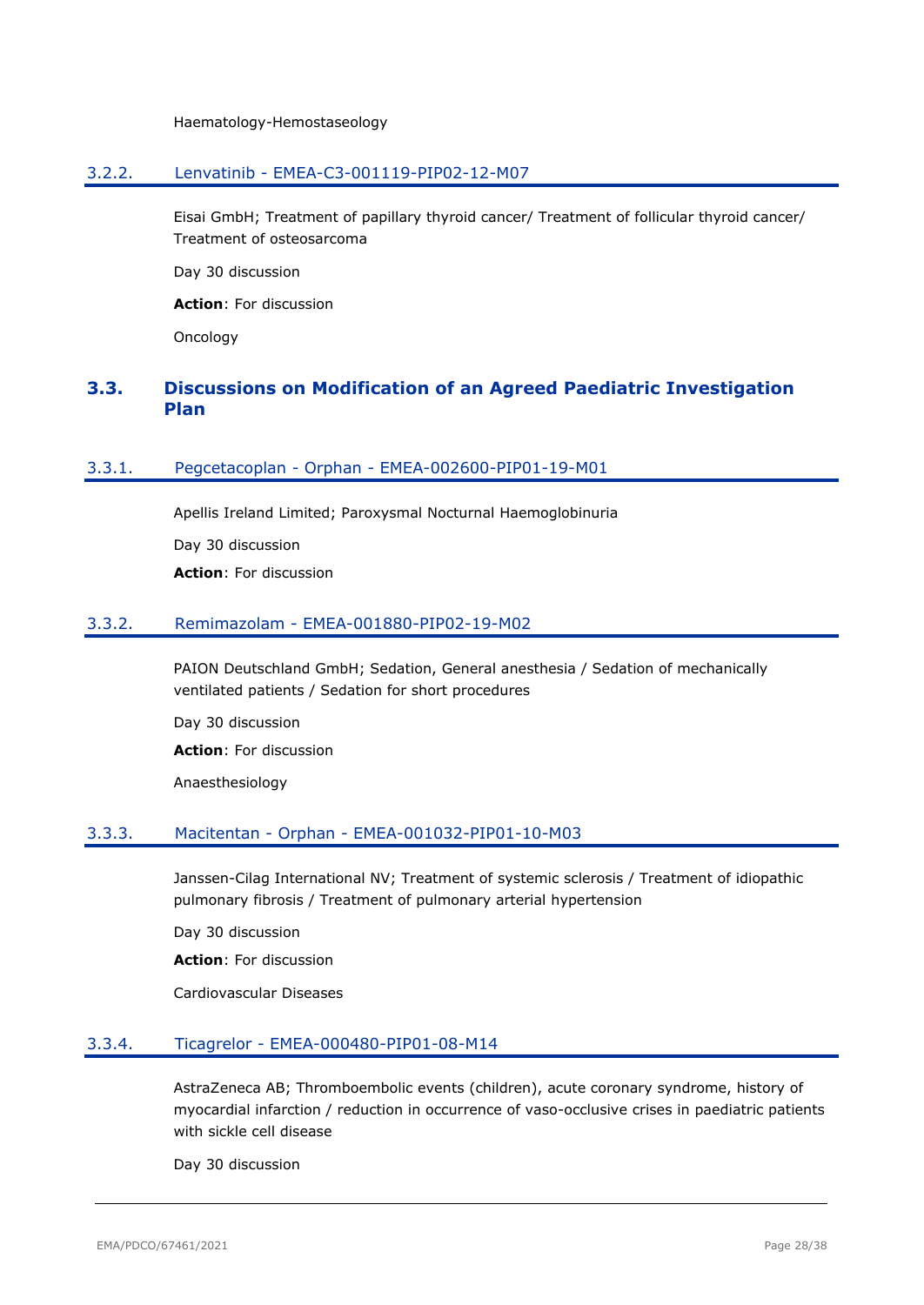Haematology-Hemostaseology

#### <span id="page-27-0"></span>3.2.2. Lenvatinib - EMEA-C3-001119-PIP02-12-M07

Eisai GmbH; Treatment of papillary thyroid cancer/ Treatment of follicular thyroid cancer/ Treatment of osteosarcoma

Day 30 discussion

**Action**: For discussion

Oncology

# <span id="page-27-1"></span>**3.3. Discussions on Modification of an Agreed Paediatric Investigation Plan**

### <span id="page-27-2"></span>3.3.1. Pegcetacoplan - Orphan - EMEA-002600-PIP01-19-M01

Apellis Ireland Limited; Paroxysmal Nocturnal Haemoglobinuria Day 30 discussion **Action**: For discussion

#### <span id="page-27-3"></span>3.3.2. Remimazolam - EMEA-001880-PIP02-19-M02

PAION Deutschland GmbH; Sedation, General anesthesia / Sedation of mechanically ventilated patients / Sedation for short procedures

Day 30 discussion **Action**: For discussion Anaesthesiology

# <span id="page-27-4"></span>3.3.3. Macitentan - Orphan - EMEA-001032-PIP01-10-M03

Janssen-Cilag International NV; Treatment of systemic sclerosis / Treatment of idiopathic pulmonary fibrosis / Treatment of pulmonary arterial hypertension

Day 30 discussion

**Action**: For discussion

Cardiovascular Diseases

### <span id="page-27-5"></span>3.3.4. Ticagrelor - EMEA-000480-PIP01-08-M14

AstraZeneca AB; Thromboembolic events (children), acute coronary syndrome, history of myocardial infarction / reduction in occurrence of vaso-occlusive crises in paediatric patients with sickle cell disease

Day 30 discussion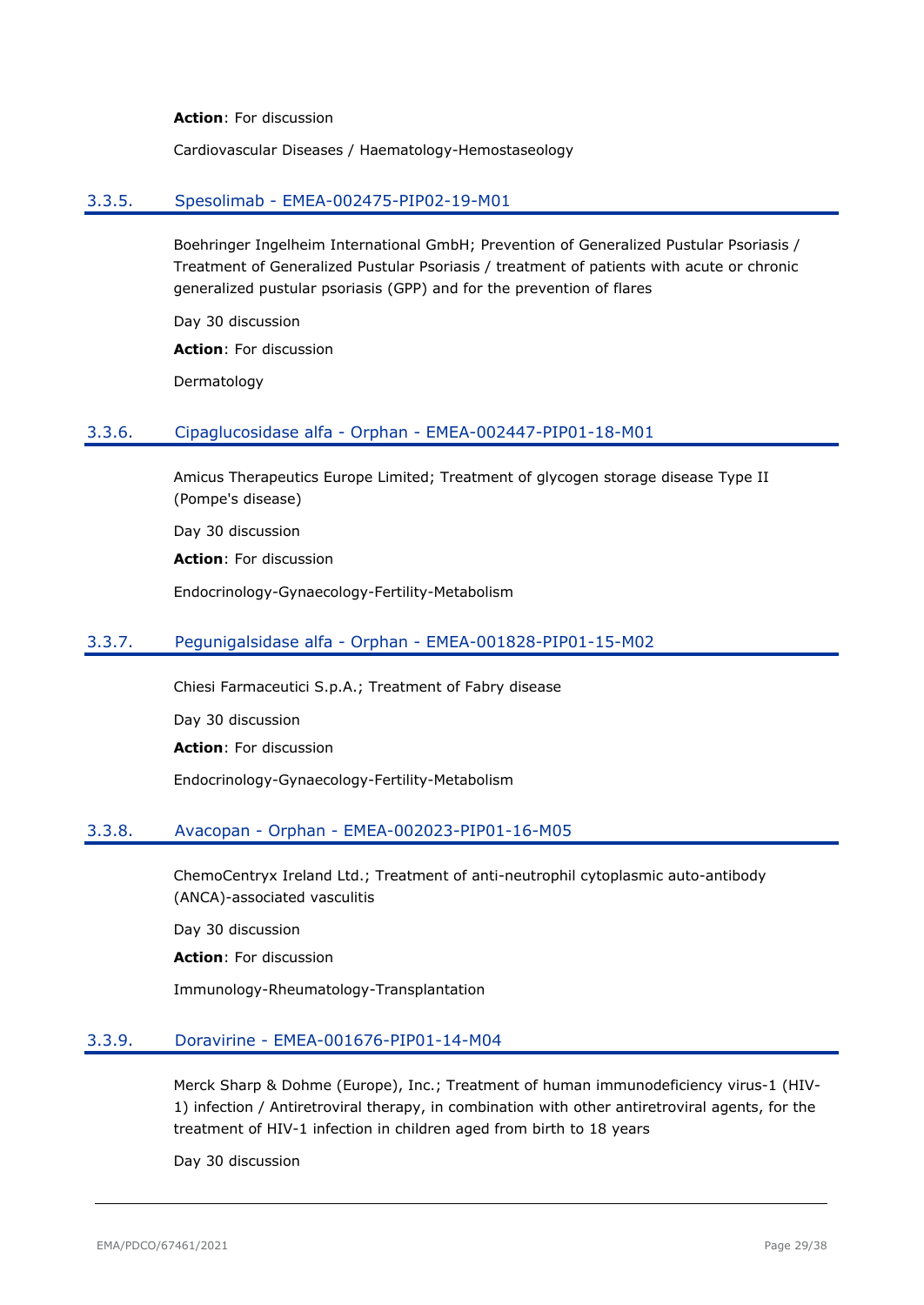**Action**: For discussion

Cardiovascular Diseases / Haematology-Hemostaseology

#### <span id="page-28-0"></span>3.3.5. Spesolimab - EMEA-002475-PIP02-19-M01

Boehringer Ingelheim International GmbH; Prevention of Generalized Pustular Psoriasis / Treatment of Generalized Pustular Psoriasis / treatment of patients with acute or chronic generalized pustular psoriasis (GPP) and for the prevention of flares

Day 30 discussion

**Action**: For discussion

Dermatology

#### <span id="page-28-1"></span>3.3.6. Cipaglucosidase alfa - Orphan - EMEA-002447-PIP01-18-M01

Amicus Therapeutics Europe Limited; Treatment of glycogen storage disease Type II (Pompe's disease)

Day 30 discussion

**Action**: For discussion

Endocrinology-Gynaecology-Fertility-Metabolism

#### <span id="page-28-2"></span>3.3.7. Pegunigalsidase alfa - Orphan - EMEA-001828-PIP01-15-M02

Chiesi Farmaceutici S.p.A.; Treatment of Fabry disease

Day 30 discussion

**Action**: For discussion

Endocrinology-Gynaecology-Fertility-Metabolism

#### <span id="page-28-3"></span>3.3.8. Avacopan - Orphan - EMEA-002023-PIP01-16-M05

ChemoCentryx Ireland Ltd.; Treatment of anti-neutrophil cytoplasmic auto-antibody (ANCA)-associated vasculitis

Day 30 discussion

**Action**: For discussion

Immunology-Rheumatology-Transplantation

#### <span id="page-28-4"></span>3.3.9. Doravirine - EMEA-001676-PIP01-14-M04

Merck Sharp & Dohme (Europe), Inc.; Treatment of human immunodeficiency virus-1 (HIV-1) infection / Antiretroviral therapy, in combination with other antiretroviral agents, for the treatment of HIV-1 infection in children aged from birth to 18 years

Day 30 discussion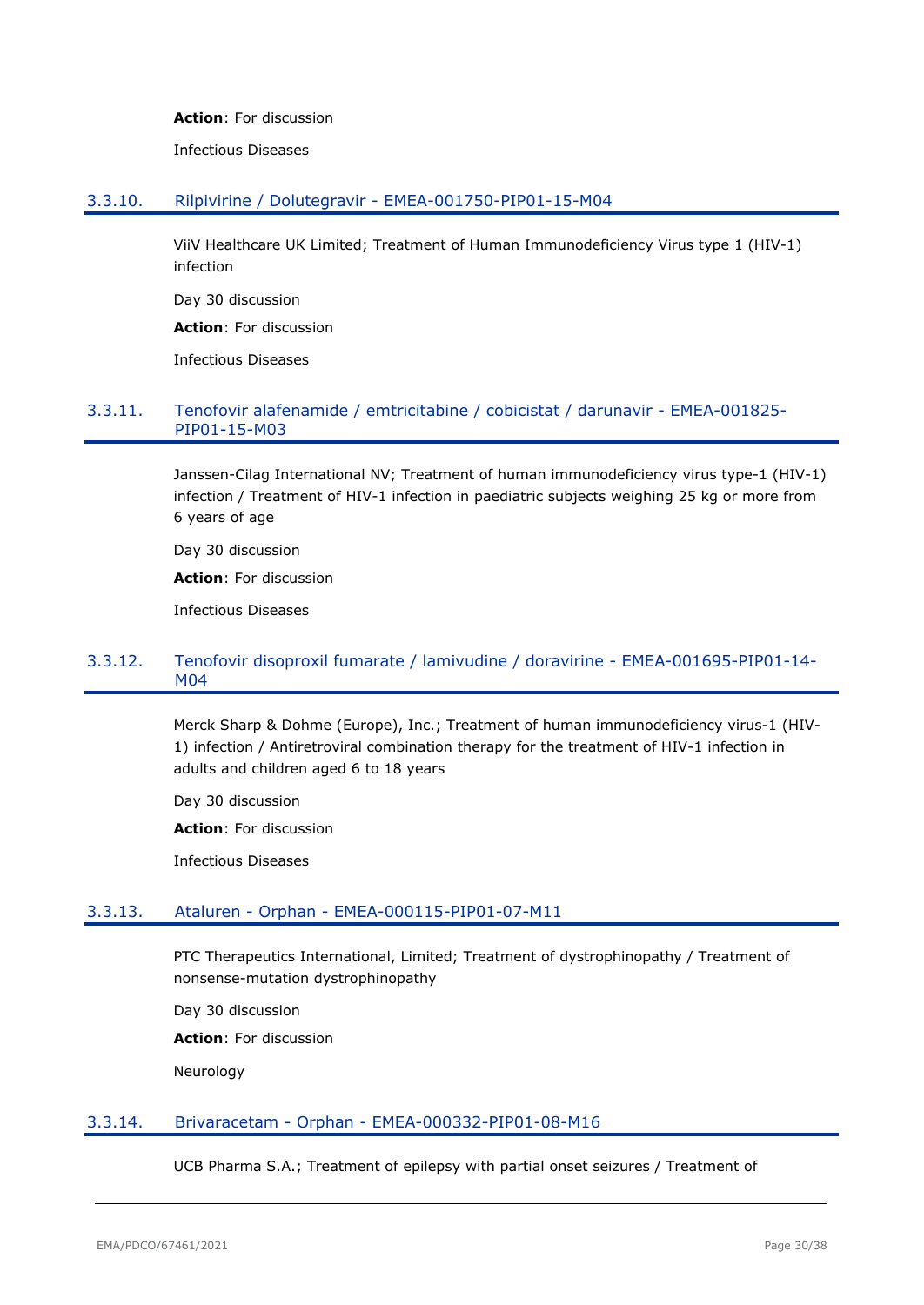#### **Action**: For discussion

Infectious Diseases

#### <span id="page-29-0"></span>3.3.10. Rilpivirine / Dolutegravir - EMEA-001750-PIP01-15-M04

ViiV Healthcare UK Limited; Treatment of Human Immunodeficiency Virus type 1 (HIV-1) infection

Day 30 discussion

**Action**: For discussion

Infectious Diseases

#### <span id="page-29-1"></span>3.3.11. Tenofovir alafenamide / emtricitabine / cobicistat / darunavir - EMEA-001825- PIP01-15-M03

Janssen-Cilag International NV; Treatment of human immunodeficiency virus type-1 (HIV-1) infection / Treatment of HIV-1 infection in paediatric subjects weighing 25 kg or more from 6 years of age

Day 30 discussion

**Action**: For discussion

Infectious Diseases

# <span id="page-29-2"></span>3.3.12. Tenofovir disoproxil fumarate / lamivudine / doravirine - EMEA-001695-PIP01-14- M04

Merck Sharp & Dohme (Europe), Inc.; Treatment of human immunodeficiency virus-1 (HIV-1) infection / Antiretroviral combination therapy for the treatment of HIV-1 infection in adults and children aged 6 to 18 years

Day 30 discussion

**Action**: For discussion

Infectious Diseases

### <span id="page-29-3"></span>3.3.13. Ataluren - Orphan - EMEA-000115-PIP01-07-M11

PTC Therapeutics International, Limited; Treatment of dystrophinopathy / Treatment of nonsense-mutation dystrophinopathy

Day 30 discussion **Action**: For discussion Neurology

### <span id="page-29-4"></span>3.3.14. Brivaracetam - Orphan - EMEA-000332-PIP01-08-M16

UCB Pharma S.A.; Treatment of epilepsy with partial onset seizures / Treatment of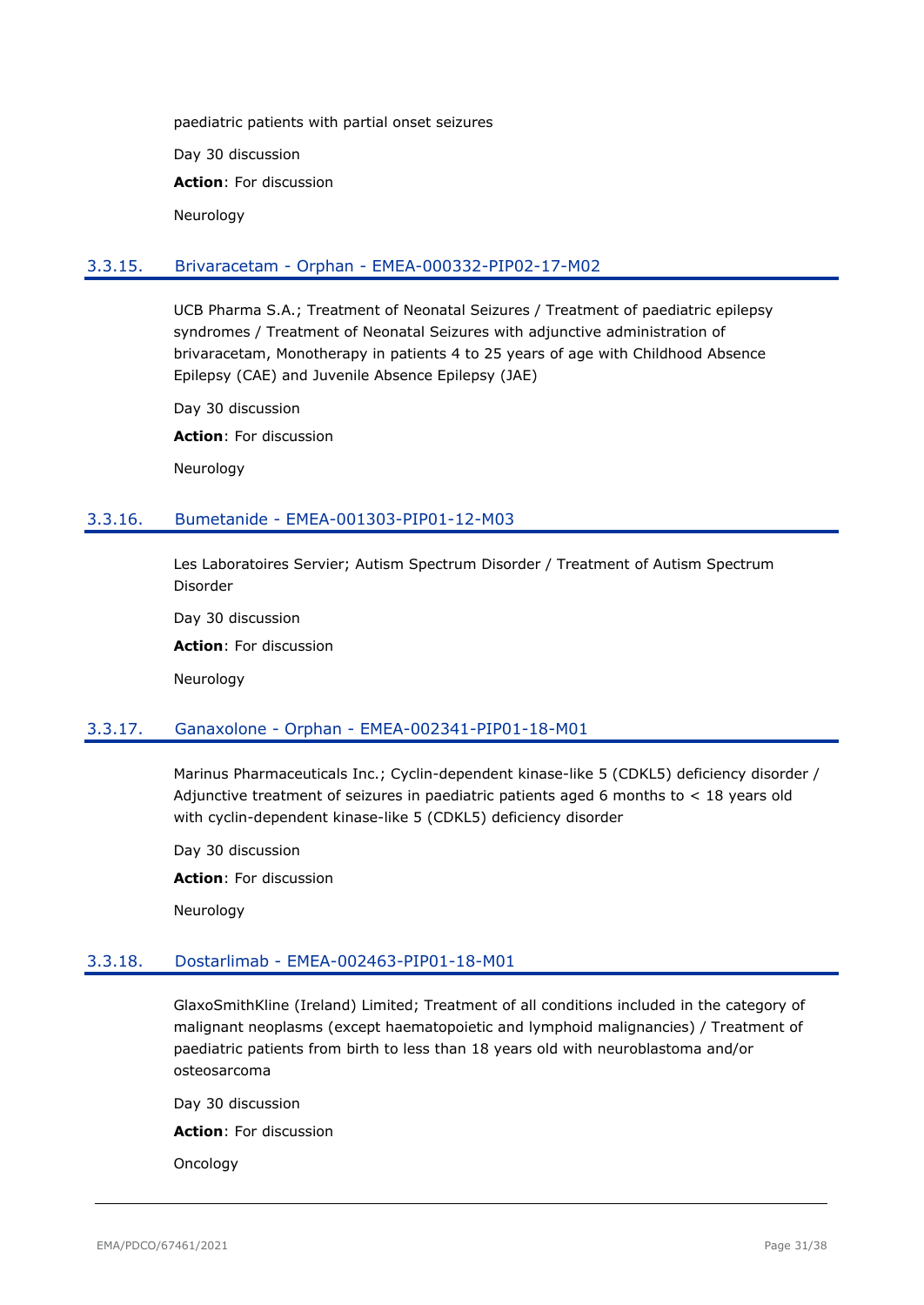paediatric patients with partial onset seizures Day 30 discussion **Action**: For discussion Neurology

#### <span id="page-30-0"></span>3.3.15. Brivaracetam - Orphan - EMEA-000332-PIP02-17-M02

UCB Pharma S.A.; Treatment of Neonatal Seizures / Treatment of paediatric epilepsy syndromes / Treatment of Neonatal Seizures with adjunctive administration of brivaracetam, Monotherapy in patients 4 to 25 years of age with Childhood Absence Epilepsy (CAE) and Juvenile Absence Epilepsy (JAE)

Day 30 discussion

**Action**: For discussion

Neurology

#### <span id="page-30-1"></span>3.3.16. Bumetanide - EMEA-001303-PIP01-12-M03

Les Laboratoires Servier; Autism Spectrum Disorder / Treatment of Autism Spectrum Disorder

Day 30 discussion

**Action**: For discussion

Neurology

#### <span id="page-30-2"></span>3.3.17. Ganaxolone - Orphan - EMEA-002341-PIP01-18-M01

Marinus Pharmaceuticals Inc.; Cyclin-dependent kinase-like 5 (CDKL5) deficiency disorder / Adjunctive treatment of seizures in paediatric patients aged 6 months to  $<$  18 years old with cyclin-dependent kinase-like 5 (CDKL5) deficiency disorder

Day 30 discussion

**Action**: For discussion

Neurology

### <span id="page-30-3"></span>3.3.18. Dostarlimab - EMEA-002463-PIP01-18-M01

GlaxoSmithKline (Ireland) Limited; Treatment of all conditions included in the category of malignant neoplasms (except haematopoietic and lymphoid malignancies) / Treatment of paediatric patients from birth to less than 18 years old with neuroblastoma and/or osteosarcoma

Day 30 discussion **Action**: For discussion Oncology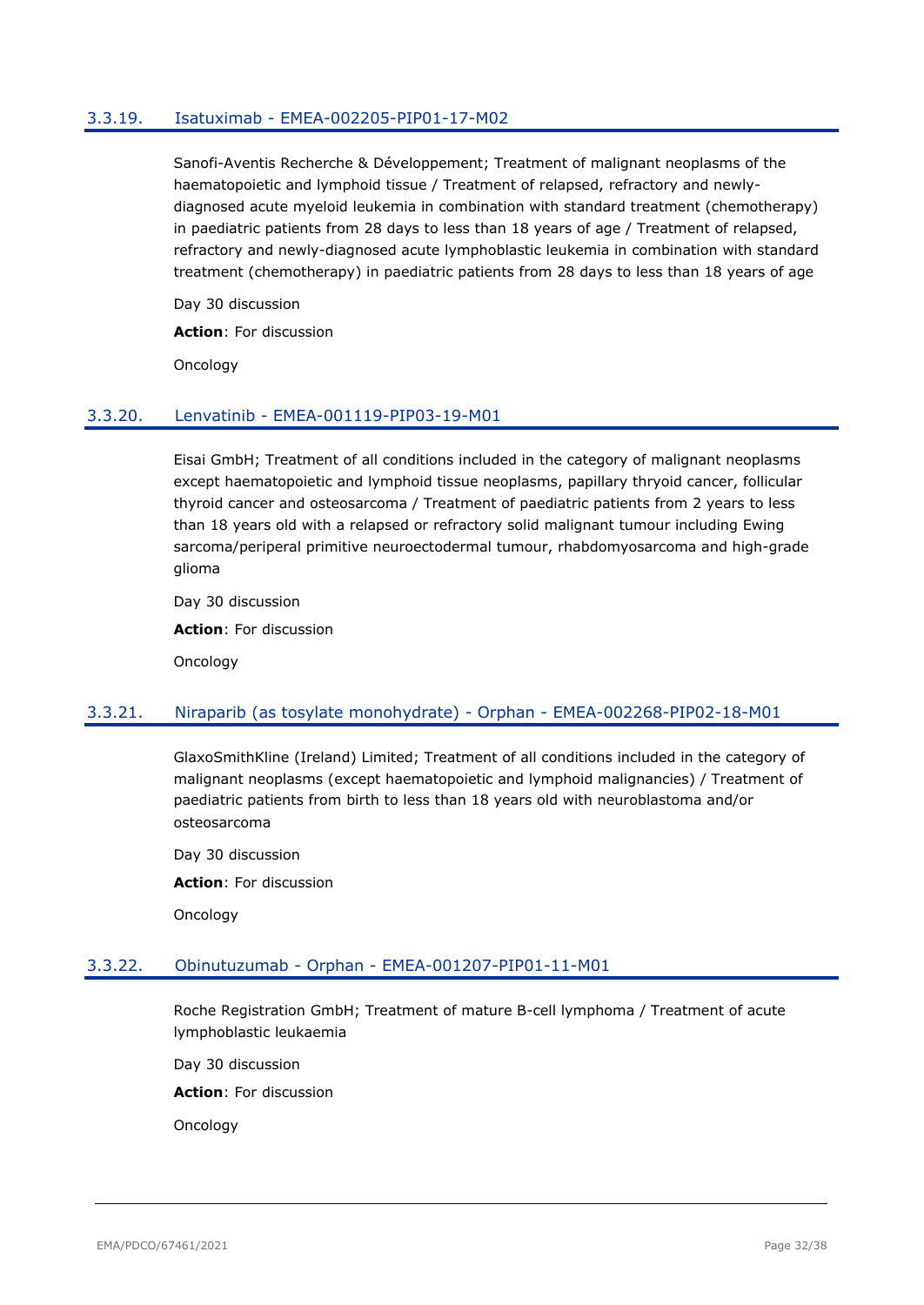### <span id="page-31-0"></span>3.3.19. Isatuximab - EMEA-002205-PIP01-17-M02

Sanofi-Aventis Recherche & Développement; Treatment of malignant neoplasms of the haematopoietic and lymphoid tissue / Treatment of relapsed, refractory and newlydiagnosed acute myeloid leukemia in combination with standard treatment (chemotherapy) in paediatric patients from 28 days to less than 18 years of age / Treatment of relapsed, refractory and newly-diagnosed acute lymphoblastic leukemia in combination with standard treatment (chemotherapy) in paediatric patients from 28 days to less than 18 years of age

Day 30 discussion **Action**: For discussion

Oncology

### <span id="page-31-1"></span>3.3.20. Lenvatinib - EMEA-001119-PIP03-19-M01

Eisai GmbH; Treatment of all conditions included in the category of malignant neoplasms except haematopoietic and lymphoid tissue neoplasms, papillary thryoid cancer, follicular thyroid cancer and osteosarcoma / Treatment of paediatric patients from 2 years to less than 18 years old with a relapsed or refractory solid malignant tumour including Ewing sarcoma/periperal primitive neuroectodermal tumour, rhabdomyosarcoma and high-grade glioma

Day 30 discussion

**Action**: For discussion

Oncology

### <span id="page-31-2"></span>3.3.21. Niraparib (as tosylate monohydrate) - Orphan - EMEA-002268-PIP02-18-M01

GlaxoSmithKline (Ireland) Limited; Treatment of all conditions included in the category of malignant neoplasms (except haematopoietic and lymphoid malignancies) / Treatment of paediatric patients from birth to less than 18 years old with neuroblastoma and/or osteosarcoma

Day 30 discussion **Action**: For discussion Oncology

### <span id="page-31-3"></span>3.3.22. Obinutuzumab - Orphan - EMEA-001207-PIP01-11-M01

Roche Registration GmbH; Treatment of mature B-cell lymphoma / Treatment of acute lymphoblastic leukaemia

Day 30 discussion

**Action**: For discussion

Oncology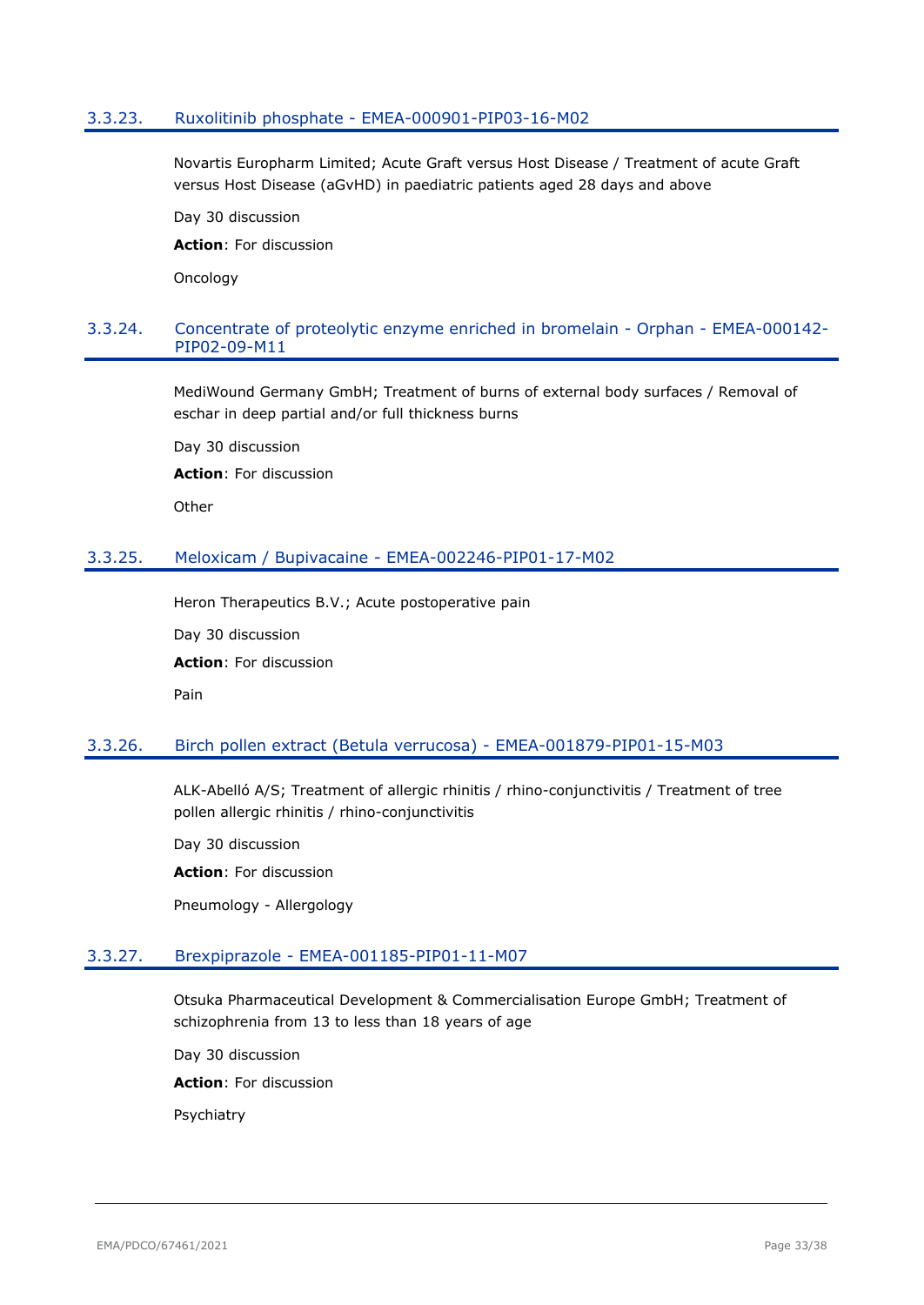#### <span id="page-32-0"></span>3.3.23. Ruxolitinib phosphate - EMEA-000901-PIP03-16-M02

Novartis Europharm Limited; Acute Graft versus Host Disease / Treatment of acute Graft versus Host Disease (aGvHD) in paediatric patients aged 28 days and above

Day 30 discussion

**Action**: For discussion

**Oncology** 

# <span id="page-32-1"></span>3.3.24. Concentrate of proteolytic enzyme enriched in bromelain - Orphan - EMEA-000142- PIP02-09-M11

MediWound Germany GmbH; Treatment of burns of external body surfaces / Removal of eschar in deep partial and/or full thickness burns

Day 30 discussion **Action**: For discussion **Other** 

### <span id="page-32-2"></span>3.3.25. Meloxicam / Bupivacaine - EMEA-002246-PIP01-17-M02

Heron Therapeutics B.V.; Acute postoperative pain

Day 30 discussion

**Action**: For discussion

Pain

### <span id="page-32-3"></span>3.3.26. Birch pollen extract (Betula verrucosa) - EMEA-001879-PIP01-15-M03

ALK-Abelló A/S; Treatment of allergic rhinitis / rhino-conjunctivitis / Treatment of tree pollen allergic rhinitis / rhino-conjunctivitis

Day 30 discussion

**Action**: For discussion

Pneumology - Allergology

# <span id="page-32-4"></span>3.3.27. Brexpiprazole - EMEA-001185-PIP01-11-M07

Otsuka Pharmaceutical Development & Commercialisation Europe GmbH; Treatment of schizophrenia from 13 to less than 18 years of age

Day 30 discussion

**Action**: For discussion

Psychiatry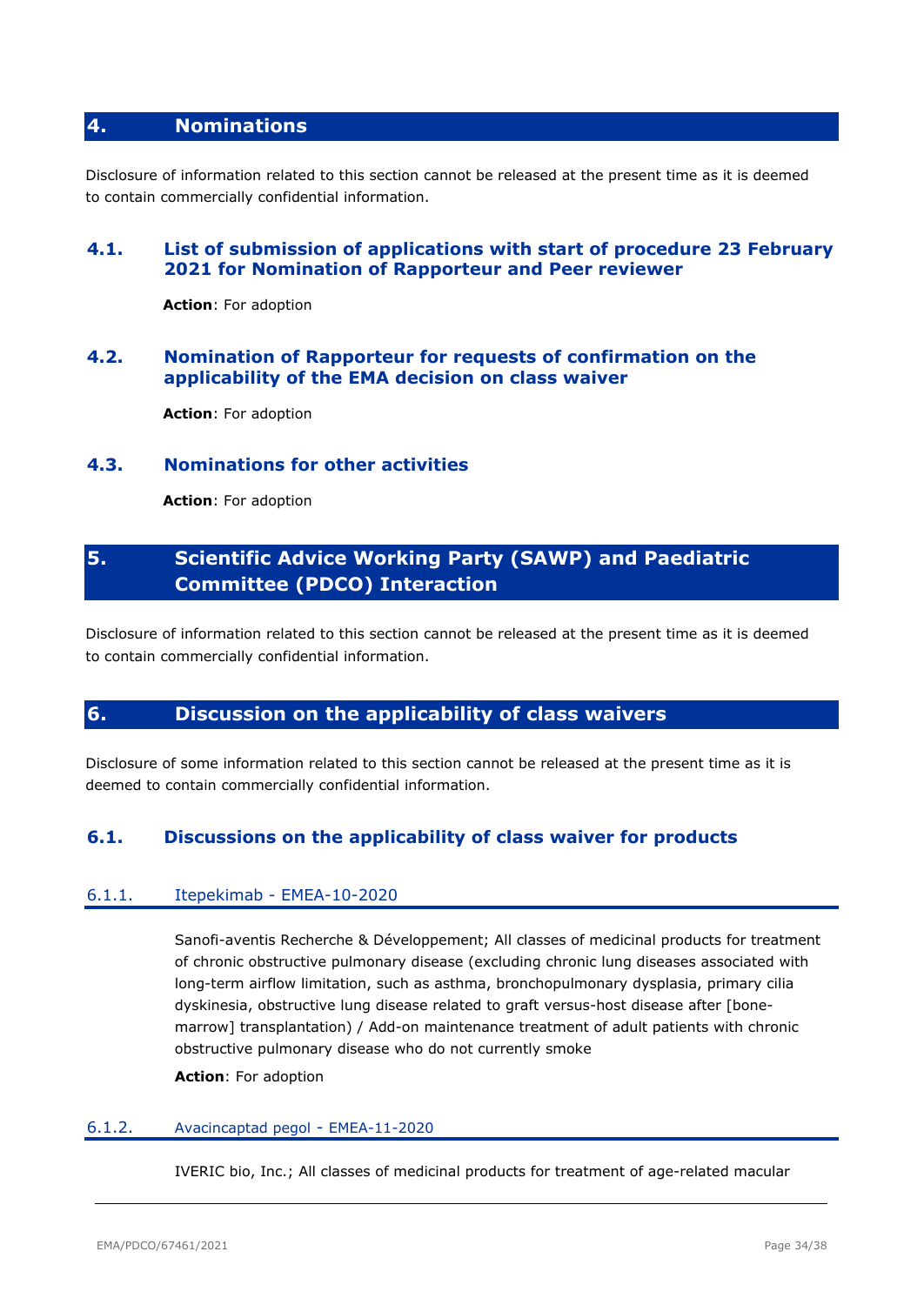# <span id="page-33-0"></span>**4. Nominations**

Disclosure of information related to this section cannot be released at the present time as it is deemed to contain commercially confidential information.

# <span id="page-33-1"></span>**4.1. List of submission of applications with start of procedure 23 February 2021 for Nomination of Rapporteur and Peer reviewer**

**Action**: For adoption

# <span id="page-33-2"></span>**4.2. Nomination of Rapporteur for requests of confirmation on the applicability of the EMA decision on class waiver**

**Action**: For adoption

# <span id="page-33-3"></span>**4.3. Nominations for other activities**

**Action**: For adoption

# <span id="page-33-4"></span>**5. Scientific Advice Working Party (SAWP) and Paediatric Committee (PDCO) Interaction**

Disclosure of information related to this section cannot be released at the present time as it is deemed to contain commercially confidential information.

# <span id="page-33-5"></span>**6. Discussion on the applicability of class waivers**

Disclosure of some information related to this section cannot be released at the present time as it is deemed to contain commercially confidential information.

# <span id="page-33-6"></span>**6.1. Discussions on the applicability of class waiver for products**

### <span id="page-33-7"></span>6.1.1. Itepekimab - EMEA-10-2020

Sanofi-aventis Recherche & Développement; All classes of medicinal products for treatment of chronic obstructive pulmonary disease (excluding chronic lung diseases associated with long-term airflow limitation, such as asthma, bronchopulmonary dysplasia, primary cilia dyskinesia, obstructive lung disease related to graft versus-host disease after [bonemarrow] transplantation) / Add-on maintenance treatment of adult patients with chronic obstructive pulmonary disease who do not currently smoke

**Action**: For adoption

#### <span id="page-33-8"></span>6.1.2. Avacincaptad pegol - EMEA-11-2020

IVERIC bio, Inc.; All classes of medicinal products for treatment of age-related macular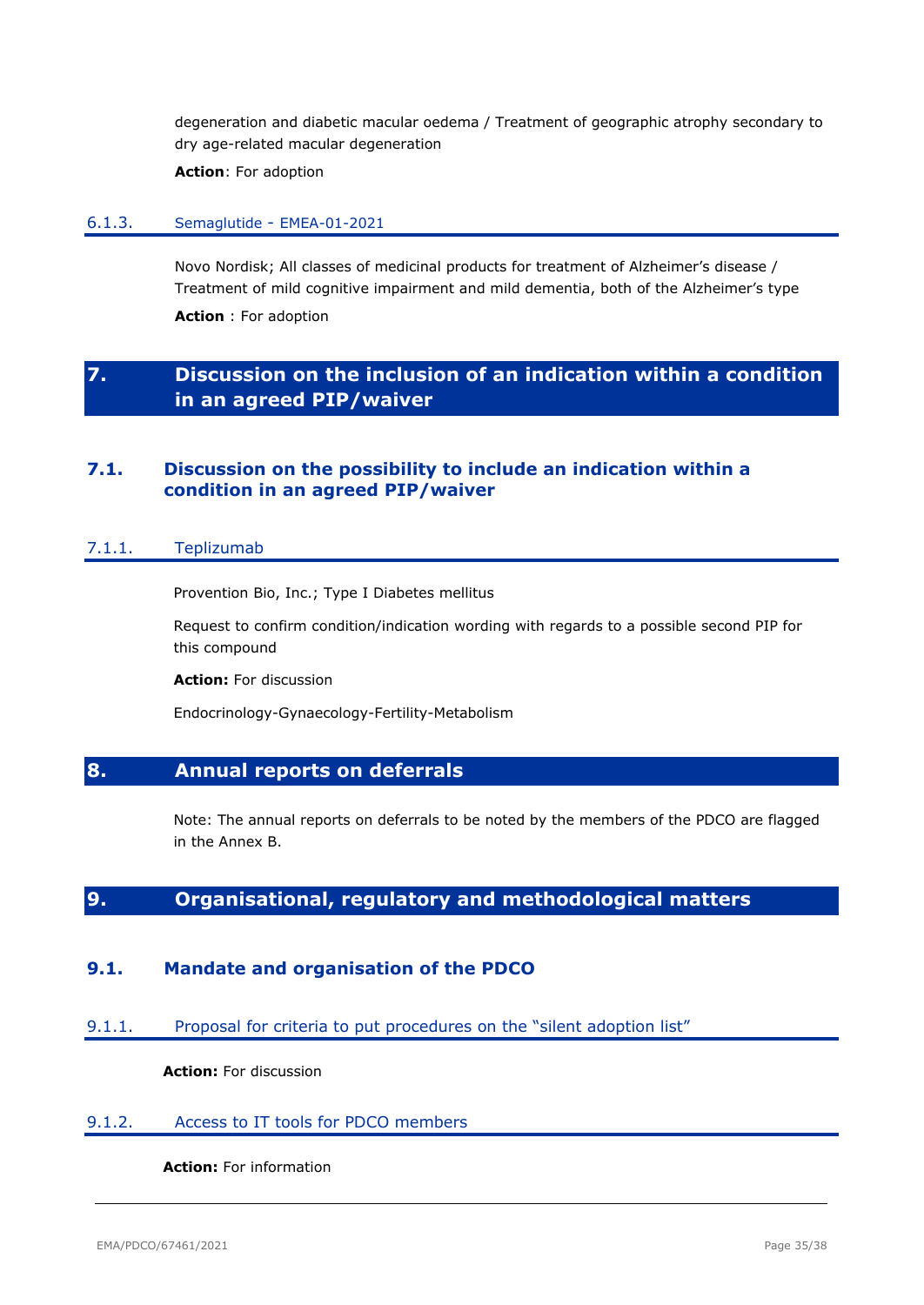degeneration and diabetic macular oedema / Treatment of geographic atrophy secondary to dry age-related macular degeneration

**Action**: For adoption

#### <span id="page-34-0"></span>6.1.3. Semaglutide - EMEA-01-2021

Novo Nordisk; All classes of medicinal products for treatment of Alzheimer's disease / Treatment of mild cognitive impairment and mild dementia, both of the Alzheimer's type

**Action** : For adoption

# <span id="page-34-1"></span>**7. Discussion on the inclusion of an indication within a condition in an agreed PIP/waiver**

# <span id="page-34-2"></span>**7.1. Discussion on the possibility to include an indication within a condition in an agreed PIP/waiver**

#### <span id="page-34-3"></span>7.1.1. Teplizumab

Provention Bio, Inc.; Type I Diabetes mellitus

Request to confirm condition/indication wording with regards to a possible second PIP for this compound

**Action:** For discussion

Endocrinology-Gynaecology-Fertility-Metabolism

# <span id="page-34-4"></span>**8. Annual reports on deferrals**

Note: The annual reports on deferrals to be noted by the members of the PDCO are flagged in the Annex B.

# <span id="page-34-5"></span>**9. Organisational, regulatory and methodological matters**

# <span id="page-34-6"></span>**9.1. Mandate and organisation of the PDCO**

<span id="page-34-7"></span>9.1.1. Proposal for criteria to put procedures on the "silent adoption list"

**Action:** For discussion

#### <span id="page-34-8"></span>9.1.2. Access to IT tools for PDCO members

### **Action:** For information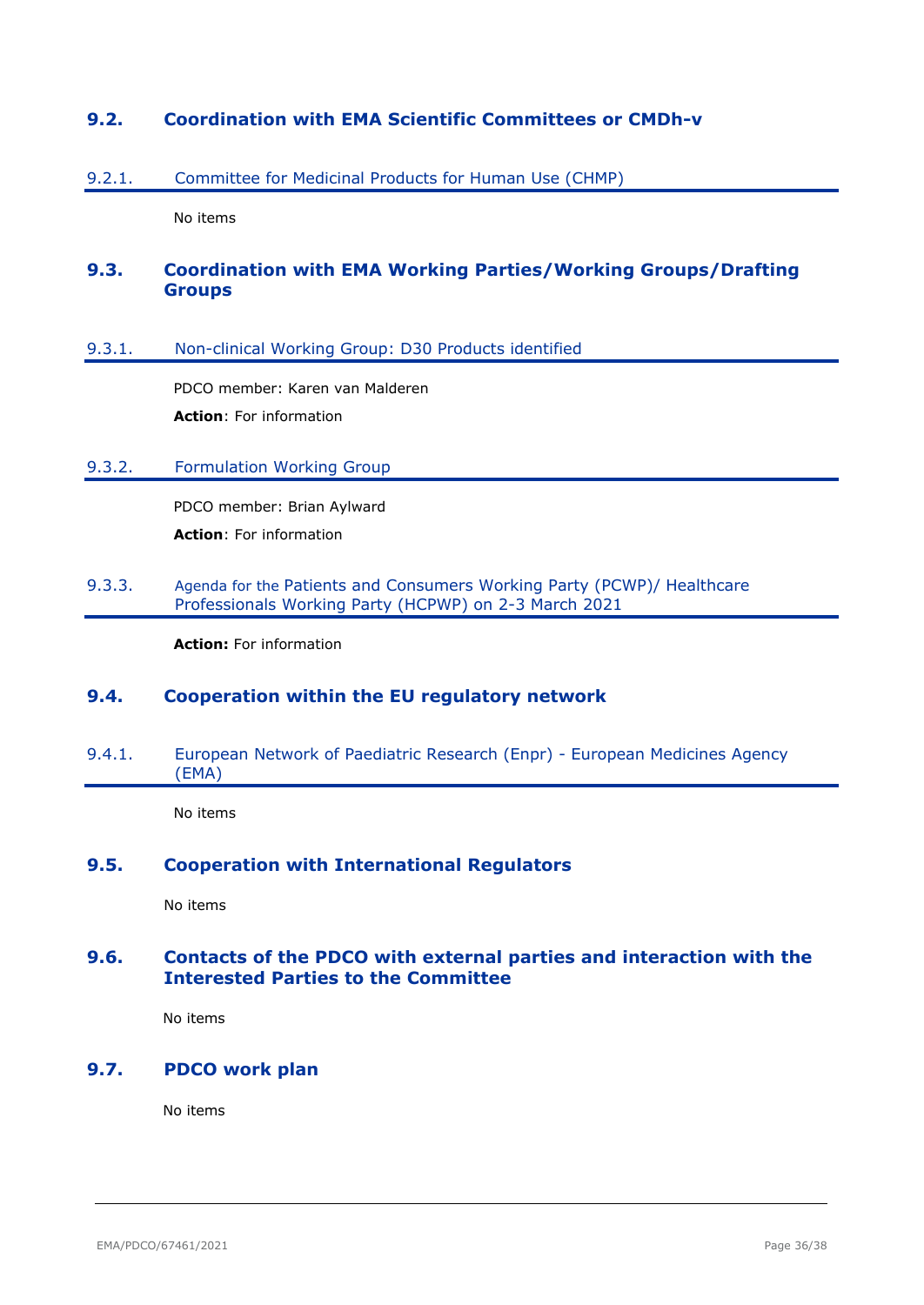# <span id="page-35-0"></span>**9.2. Coordination with EMA Scientific Committees or CMDh-v**

### <span id="page-35-1"></span>9.2.1. Committee for Medicinal Products for Human Use (CHMP)

No items

# <span id="page-35-2"></span>**9.3. Coordination with EMA Working Parties/Working Groups/Drafting Groups**

#### <span id="page-35-3"></span>9.3.1. Non-clinical Working Group: D30 Products identified

PDCO member: Karen van Malderen **Action**: For information

### <span id="page-35-4"></span>9.3.2. Formulation Working Group

PDCO member: Brian Aylward **Action**: For information

### <span id="page-35-5"></span>9.3.3. Agenda for the Patients and Consumers Working Party (PCWP)/ Healthcare Professionals Working Party (HCPWP) on 2-3 March 2021

**Action:** For information

# <span id="page-35-6"></span>**9.4. Cooperation within the EU regulatory network**

<span id="page-35-7"></span>9.4.1. European Network of Paediatric Research (Enpr) - European Medicines Agency (EMA)

No items

# <span id="page-35-8"></span>**9.5. Cooperation with International Regulators**

No items

# <span id="page-35-9"></span>**9.6. Contacts of the PDCO with external parties and interaction with the Interested Parties to the Committee**

No items

# <span id="page-35-10"></span>**9.7. PDCO work plan**

No items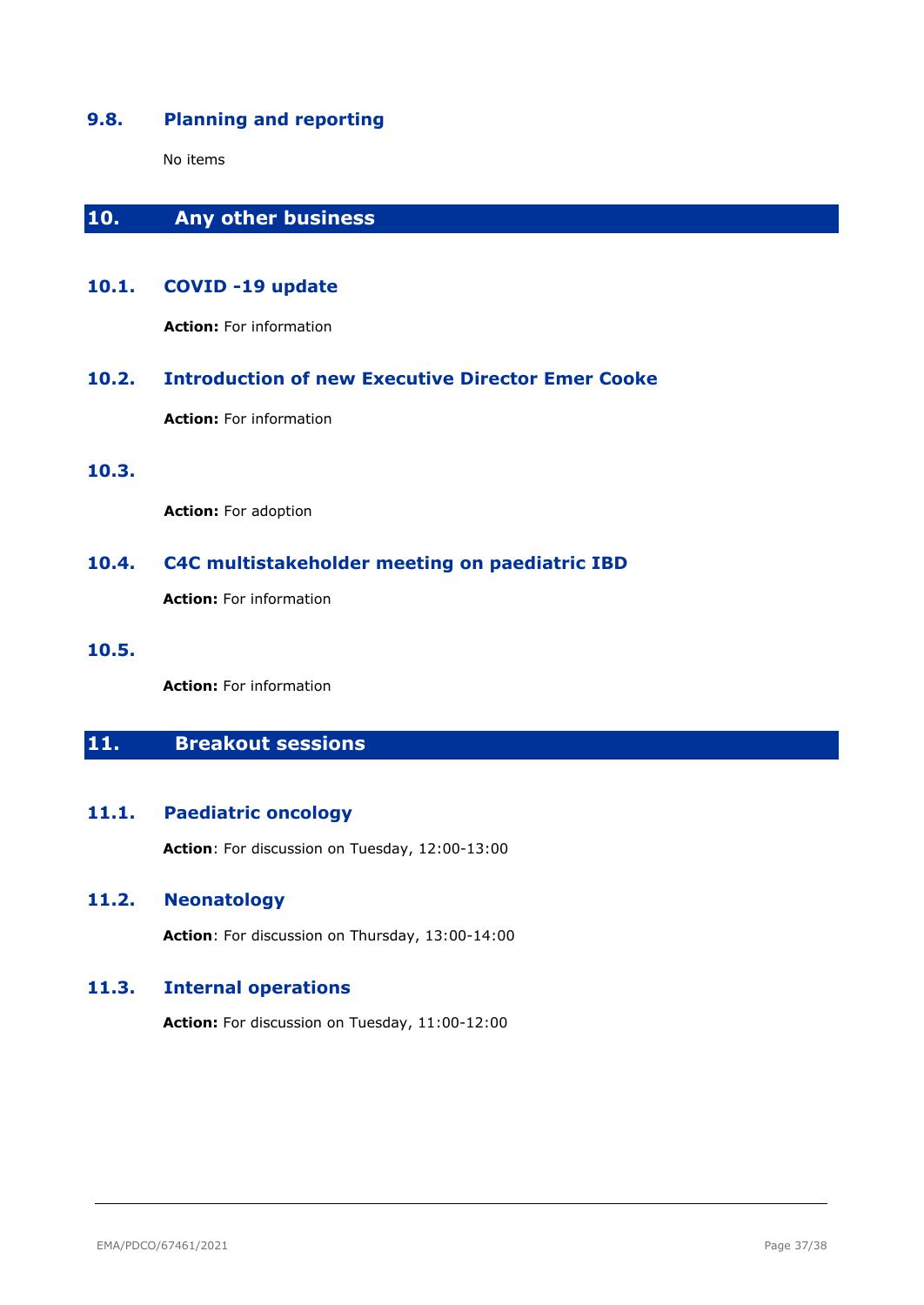# <span id="page-36-0"></span>**9.8. Planning and reporting**

No items

# <span id="page-36-1"></span>**10. Any other business**

# <span id="page-36-2"></span>**10.1. COVID -19 update**

**Action:** For information

# <span id="page-36-3"></span>**10.2. Introduction of new Executive Director Emer Cooke**

**Action:** For information

<span id="page-36-4"></span>**10.3.** 

**Action:** For adoption

# <span id="page-36-5"></span>**10.4. C4C multistakeholder meeting on paediatric IBD**

**Action:** For information

<span id="page-36-6"></span>**10.5.** 

**Action:** For information

# <span id="page-36-7"></span>**11. Breakout sessions**

# <span id="page-36-8"></span>**11.1. Paediatric oncology**

**Action**: For discussion on Tuesday, 12:00-13:00

# <span id="page-36-9"></span>**11.2. Neonatology**

**Action**: For discussion on Thursday, 13:00-14:00

# <span id="page-36-10"></span>**11.3. Internal operations**

**Action:** For discussion on Tuesday, 11:00-12:00